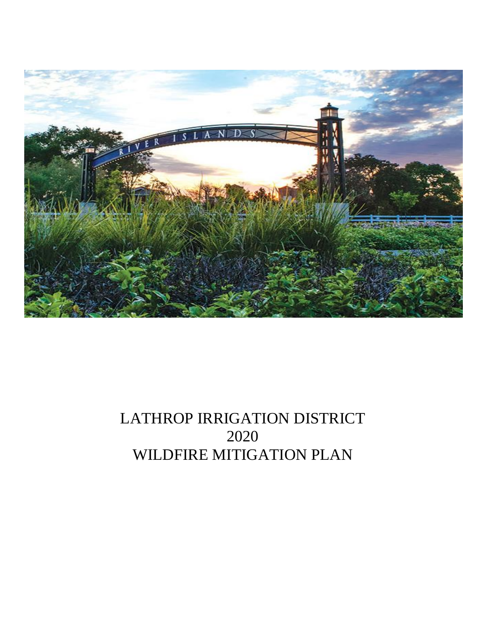

# LATHROP IRRIGATION DISTRICT 2020 WILDFIRE MITIGATION PLAN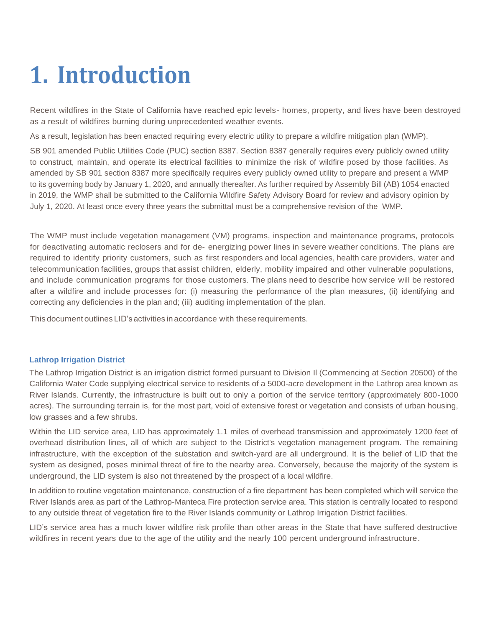# **1. Introduction**

Recent wildfires in the State of California have reached epic levels- homes, property, and lives have been destroyed as a result of wildfires burning during unprecedented weather events.

As a result, legislation has been enacted requiring every electric utility to prepare a wildfire mitigation plan (WMP).

SB 901 amended Public Utilities Code (PUC) section 8387. Section 8387 generally requires every publicly owned utility to construct, maintain, and operate its electrical facilities to minimize the risk of wildfire posed by those facilities. As amended by SB 901 section 8387 more specifically requires every publicly owned utility to prepare and present a WMP to its governing body by January 1, 2020, and annually thereafter. As further required by Assembly Bill (AB) 1054 enacted in 2019, the WMP shall be submitted to the California Wildfire Safety Advisory Board for review and advisory opinion by July 1, 2020. At least once every three years the submittal must be a comprehensive revision of the WMP.

The WMP must include vegetation management (VM) programs, inspection and maintenance programs, protocols for deactivating automatic reclosers and for de- energizing power lines in severe weather conditions. The plans are required to identify priority customers, such as first responders and local agencies, health care providers, water and telecommunication facilities, groups that assist children, elderly, mobility impaired and other vulnerable populations, and include communication programs for those customers. The plans need to describe how service will be restored after a wildfire and include processes for: (i) measuring the performance of the plan measures, (ii) identifying and correcting any deficiencies in the plan and; (iii) auditing implementation of the plan.

This document outlines LID'sactivities in accordance with theserequirements.

#### **Lathrop Irrigation District**

The Lathrop Irrigation District is an irrigation district formed pursuant to Division Il (Commencing at Section 20500) of the California Water Code supplying electrical service to residents of a 5000-acre development in the Lathrop area known as River Islands. Currently, the infrastructure is built out to only a portion of the service territory (approximately 800-1000 acres). The surrounding terrain is, for the most part, void of extensive forest or vegetation and consists of urban housing, low grasses and a few shrubs.

Within the LID service area, LID has approximately 1.1 miles of overhead transmission and approximately 1200 feet of overhead distribution lines, all of which are subject to the District's vegetation management program. The remaining infrastructure, with the exception of the substation and switch-yard are all underground. It is the belief of LID that the system as designed, poses minimal threat of fire to the nearby area. Conversely, because the majority of the system is underground, the LID system is also not threatened by the prospect of a local wildfire.

In addition to routine vegetation maintenance, construction of a fire department has been completed which will service the River Islands area as part of the Lathrop-Manteca Fire protection service area. This station is centrally located to respond to any outside threat of vegetation fire to the River Islands community or Lathrop Irrigation District facilities.

LID's service area has a much lower wildfire risk profile than other areas in the State that have suffered destructive wildfires in recent years due to the age of the utility and the nearly 100 percent underground infrastructure.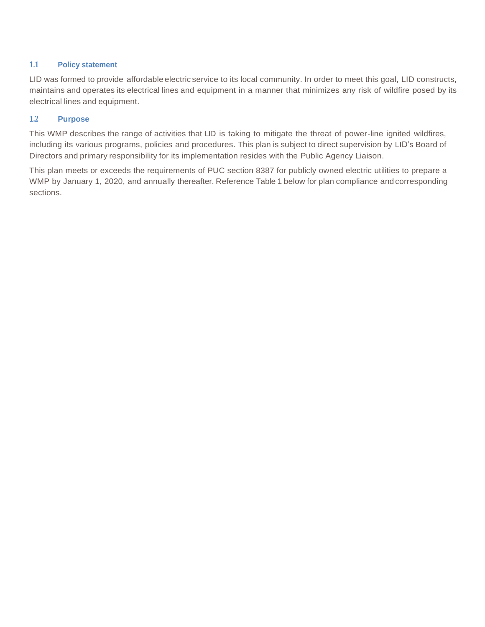#### **1.1 Policy statement**

LID was formed to provide affordable electric service to its local community. In order to meet this goal, LID constructs, maintains and operates its electrical lines and equipment in a manner that minimizes any risk of wildfire posed by its electrical lines and equipment.

#### **1.2 Purpose**

This WMP describes the range of activities that LID is taking to mitigate the threat of power-line ignited wildfires, including its various programs, policies and procedures. This plan is subject to direct supervision by LID's Board of Directors and primary responsibility for its implementation resides with the Public Agency Liaison.

This plan meets or exceeds the requirements of PUC section 8387 for publicly owned electric utilities to prepare a WMP by January 1, 2020, and annually thereafter. Reference Table 1 below for plan compliance andcorresponding sections.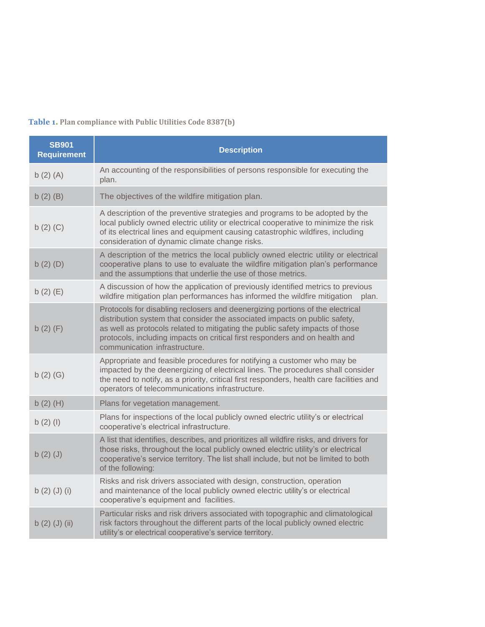# **Table 1. Plan compliance with Public Utilities Code 8387(b)**

| <b>SB901</b><br><b>Requirement</b> | <b>Description</b>                                                                                                                                                                                                                                                                                                                                           |
|------------------------------------|--------------------------------------------------------------------------------------------------------------------------------------------------------------------------------------------------------------------------------------------------------------------------------------------------------------------------------------------------------------|
| $b(2)$ $(A)$                       | An accounting of the responsibilities of persons responsible for executing the<br>plan.                                                                                                                                                                                                                                                                      |
| $b(2)$ $(B)$                       | The objectives of the wildfire mitigation plan.                                                                                                                                                                                                                                                                                                              |
| b(2)(C)                            | A description of the preventive strategies and programs to be adopted by the<br>local publicly owned electric utility or electrical cooperative to minimize the risk<br>of its electrical lines and equipment causing catastrophic wildfires, including<br>consideration of dynamic climate change risks.                                                    |
| $b(2)$ $(D)$                       | A description of the metrics the local publicly owned electric utility or electrical<br>cooperative plans to use to evaluate the wildfire mitigation plan's performance<br>and the assumptions that underlie the use of those metrics.                                                                                                                       |
| $b(2)$ (E)                         | A discussion of how the application of previously identified metrics to previous<br>wildfire mitigation plan performances has informed the wildfire mitigation<br>plan.                                                                                                                                                                                      |
| $b(2)$ (F)                         | Protocols for disabling reclosers and deenergizing portions of the electrical<br>distribution system that consider the associated impacts on public safety,<br>as well as protocols related to mitigating the public safety impacts of those<br>protocols, including impacts on critical first responders and on health and<br>communication infrastructure. |
| $b(2)$ $(G)$                       | Appropriate and feasible procedures for notifying a customer who may be<br>impacted by the deenergizing of electrical lines. The procedures shall consider<br>the need to notify, as a priority, critical first responders, health care facilities and<br>operators of telecommunications infrastructure.                                                    |
| $b(2)$ (H)                         | Plans for vegetation management.                                                                                                                                                                                                                                                                                                                             |
| $b(2)$ (l)                         | Plans for inspections of the local publicly owned electric utility's or electrical<br>cooperative's electrical infrastructure.                                                                                                                                                                                                                               |
| b(2)(J)                            | A list that identifies, describes, and prioritizes all wildfire risks, and drivers for<br>those risks, throughout the local publicly owned electric utility's or electrical<br>cooperative's service territory. The list shall include, but not be limited to both<br>of the following:                                                                      |
| b(2)(J)(i)                         | Risks and risk drivers associated with design, construction, operation<br>and maintenance of the local publicly owned electric utility's or electrical<br>cooperative's equipment and facilities.                                                                                                                                                            |
| b(2)(J)(ii)                        | Particular risks and risk drivers associated with topographic and climatological<br>risk factors throughout the different parts of the local publicly owned electric<br>utility's or electrical cooperative's service territory.                                                                                                                             |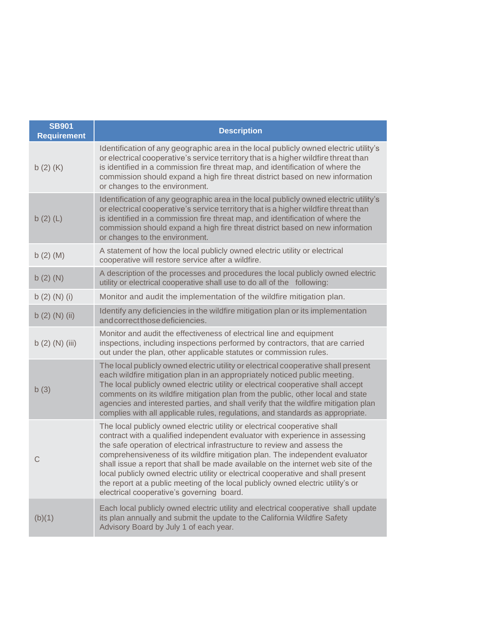| <b>SB901</b><br><b>Requirement</b> | <b>Description</b>                                                                                                                                                                                                                                                                                                                                                                                                                                                                                                                                                                                                               |
|------------------------------------|----------------------------------------------------------------------------------------------------------------------------------------------------------------------------------------------------------------------------------------------------------------------------------------------------------------------------------------------------------------------------------------------------------------------------------------------------------------------------------------------------------------------------------------------------------------------------------------------------------------------------------|
| b(2)(K)                            | Identification of any geographic area in the local publicly owned electric utility's<br>or electrical cooperative's service territory that is a higher wildfire threat than<br>is identified in a commission fire threat map, and identification of where the<br>commission should expand a high fire threat district based on new information<br>or changes to the environment.                                                                                                                                                                                                                                                 |
| $b(2)$ (L)                         | Identification of any geographic area in the local publicly owned electric utility's<br>or electrical cooperative's service territory that is a higher wildfire threat than<br>is identified in a commission fire threat map, and identification of where the<br>commission should expand a high fire threat district based on new information<br>or changes to the environment.                                                                                                                                                                                                                                                 |
| $b(2)$ (M)                         | A statement of how the local publicly owned electric utility or electrical<br>cooperative will restore service after a wildfire.                                                                                                                                                                                                                                                                                                                                                                                                                                                                                                 |
| $b(2)$ (N)                         | A description of the processes and procedures the local publicly owned electric<br>utility or electrical cooperative shall use to do all of the following:                                                                                                                                                                                                                                                                                                                                                                                                                                                                       |
| b $(2)$ $(N)$ $(i)$                | Monitor and audit the implementation of the wildfire mitigation plan.                                                                                                                                                                                                                                                                                                                                                                                                                                                                                                                                                            |
| b(2) (N) (ii)                      | Identify any deficiencies in the wildfire mitigation plan or its implementation<br>and correct those deficiencies.                                                                                                                                                                                                                                                                                                                                                                                                                                                                                                               |
| b(2) (N) (iii)                     | Monitor and audit the effectiveness of electrical line and equipment<br>inspections, including inspections performed by contractors, that are carried<br>out under the plan, other applicable statutes or commission rules.                                                                                                                                                                                                                                                                                                                                                                                                      |
| b(3)                               | The local publicly owned electric utility or electrical cooperative shall present<br>each wildfire mitigation plan in an appropriately noticed public meeting.<br>The local publicly owned electric utility or electrical cooperative shall accept<br>comments on its wildfire mitigation plan from the public, other local and state<br>agencies and interested parties, and shall verify that the wildfire mitigation plan<br>complies with all applicable rules, regulations, and standards as appropriate.                                                                                                                   |
| C                                  | The local publicly owned electric utility or electrical cooperative shall<br>contract with a qualified independent evaluator with experience in assessing<br>the safe operation of electrical infrastructure to review and assess the<br>comprehensiveness of its wildfire mitigation plan. The independent evaluator<br>shall issue a report that shall be made available on the internet web site of the<br>local publicly owned electric utility or electrical cooperative and shall present<br>the report at a public meeting of the local publicly owned electric utility's or<br>electrical cooperative's governing board. |
| (b)(1)                             | Each local publicly owned electric utility and electrical cooperative shall update<br>its plan annually and submit the update to the California Wildfire Safety<br>Advisory Board by July 1 of each year.                                                                                                                                                                                                                                                                                                                                                                                                                        |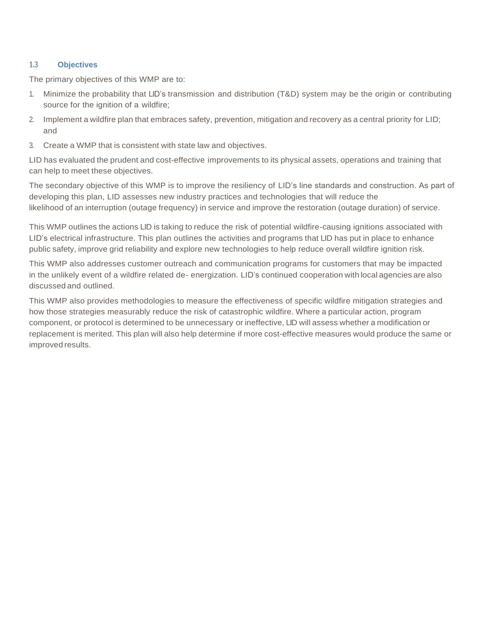#### **1.3 Objectives**

The primary objectives of this WMP are to:

- 1. Minimize the probability that LID's transmission and distribution (T&D) system may be the origin or contributing source for the ignition of a wildfire;
- 2. Implement a wildfire plan that embraces safety, prevention, mitigation and recovery as a central priority for LID; and
- 3. Create a WMP that is consistent with state law and objectives.

LID has evaluated the prudent and cost-effective improvements to its physical assets, operations and training that can help to meet these objectives.

The secondary objective of this WMP is to improve the resiliency of LID's line standards and construction. As part of developing this plan, LID assesses new industry practices and technologies that will reduce the likelihood of an interruption (outage frequency) in service and improve the restoration (outage duration) of service.

This WMP outlines the actions LID is taking to reduce the risk of potential wildfire-causing ignitions associated with LID's electrical infrastructure. This plan outlines the activities and programs that LID has put in place to enhance public safety, improve grid reliability and explore new technologies to help reduce overall wildfire ignition risk.

This WMP also addresses customer outreach and communication programs for customers that may be impacted in the unlikely event of a wildfire related de- energization. LID's continued cooperation with local agencies are also discussed and outlined.

This WMP also provides methodologies to measure the effectiveness of specific wildfire mitigation strategies and how those strategies measurably reduce the risk of catastrophic wildfire. Where a particular action, program component, or protocol is determined to be unnecessary or ineffective, LID will assess whether a modification or replacement is merited. This plan will also help determine if more cost-effective measures would produce the same or improved results.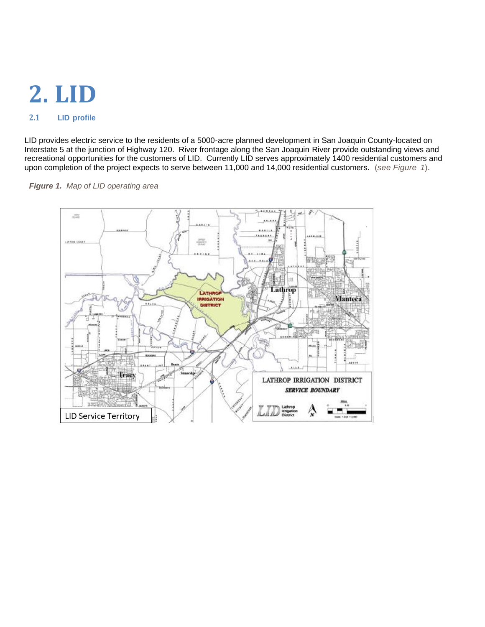# **2. LID**

# **2.1 LID profile**

LID provides electric service to the residents of a 5000-acre planned development in San Joaquin County-located on Interstate 5 at the junction of Highway 120. River frontage along the San Joaquin River provide outstanding views and recreational opportunities for the customers of LID. Currently LID serves approximately 1400 residential customers and upon completion of the project expects to serve between 11,000 and 14,000 residential customers. (*see Figure 1*).



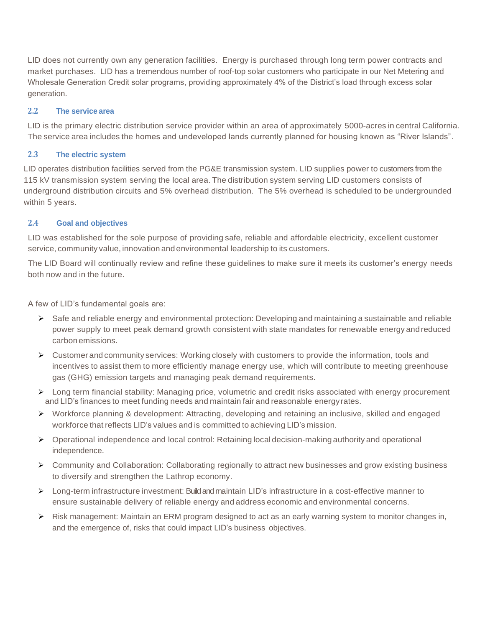LID does not currently own any generation facilities. Energy is purchased through long term power contracts and market purchases. LID has a tremendous number of roof-top solar customers who participate in our Net Metering and Wholesale Generation Credit solar programs, providing approximately 4% of the District's load through excess solar generation.

#### **2.2 The service area**

LID is the primary electric distribution service provider within an area of approximately 5000-acres in central California. The service area includes the homes and undeveloped lands currently planned for housing known as "River Islands".

#### **2.3 The electric system**

LID operates distribution facilities served from the PG&E transmission system. LID supplies power to customers from the 115 kV transmission system serving the local area. The distribution system serving LID customers consists of underground distribution circuits and 5% overhead distribution. The 5% overhead is scheduled to be undergrounded within 5 years.

#### **2.4 Goal and objectives**

LID was established for the sole purpose of providing safe, reliable and affordable electricity, excellent customer service, community value, innovation and environmental leadership to its customers.

The LID Board will continually review and refine these guidelines to make sure it meets its customer's energy needs both now and in the future.

A few of LID's fundamental goals are:

- ➢ Safe and reliable energy and environmental protection: Developing and maintaining a sustainable and reliable power supply to meet peak demand growth consistent with state mandates for renewable energy andreduced carbon emissions.
- ➢ Customer and community services: Working closely with customers to provide the information, tools and incentives to assist them to more efficiently manage energy use, which will contribute to meeting greenhouse gas (GHG) emission targets and managing peak demand requirements.
- ➢ Long term financial stability: Managing price, volumetric and credit risks associated with energy procurement and LID's finances to meet funding needs and maintain fair and reasonable energy rates.
- ➢ Workforce planning & development: Attracting, developing and retaining an inclusive, skilled and engaged workforce that reflects LID's values and is committed to achieving LID's mission.
- ➢ Operational independence and local control: Retaining local decision-making authority and operational independence.
- ➢ Community and Collaboration: Collaborating regionally to attract new businesses and grow existing business to diversify and strengthen the Lathrop economy.
- ➢ Long-term infrastructure investment: Build and maintain LID's infrastructure in a cost-effective manner to ensure sustainable delivery of reliable energy and address economic and environmental concerns.
- ➢ Risk management: Maintain an ERM program designed to act as an early warning system to monitor changes in, and the emergence of, risks that could impact LID's business objectives.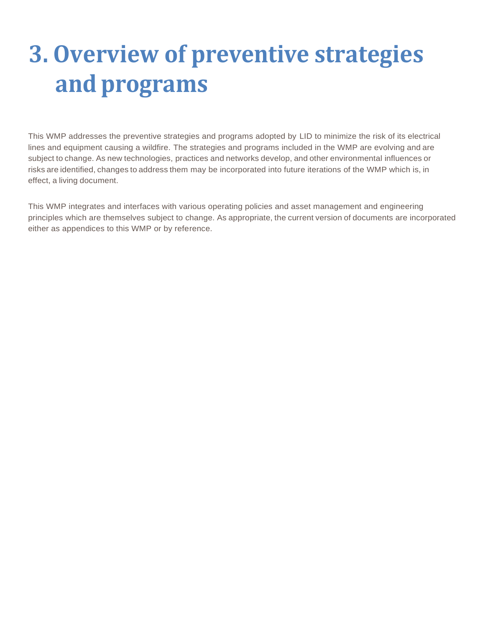# **3. Overview of preventive strategies and programs**

This WMP addresses the preventive strategies and programs adopted by LID to minimize the risk of its electrical lines and equipment causing a wildfire. The strategies and programs included in the WMP are evolving and are subject to change. As new technologies, practices and networks develop, and other environmental influences or risks are identified, changes to address them may be incorporated into future iterations of the WMP which is, in effect, a living document.

This WMP integrates and interfaces with various operating policies and asset management and engineering principles which are themselves subject to change. As appropriate, the current version of documents are incorporated either as appendices to this WMP or by reference.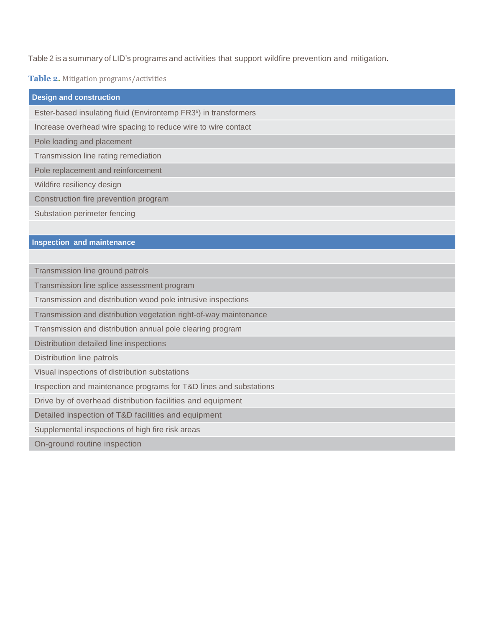Table 2 is a summary of LID's programs and activities that support wildfire prevention and mitigation.

**Table 2.** Mitigation programs/activities

| <b>Design and construction</b>                                               |
|------------------------------------------------------------------------------|
| Ester-based insulating fluid (Environtemp FR3 <sup>5</sup> ) in transformers |
| Increase overhead wire spacing to reduce wire to wire contact                |
| Pole loading and placement                                                   |
| Transmission line rating remediation                                         |
| Pole replacement and reinforcement                                           |
| Wildfire resiliency design                                                   |
| Construction fire prevention program                                         |
| Substation perimeter fencing                                                 |
|                                                                              |
| <b>Inspection and maintenance</b>                                            |
|                                                                              |
| Transmission line ground patrols                                             |
| Transmission line splice assessment program                                  |
| Transmission and distribution wood pole intrusive inspections                |
| Transmission and distribution vegetation right-of-way maintenance            |
| Transmission and distribution annual pole clearing program                   |
| Distribution detailed line inspections                                       |
| Distribution line patrols                                                    |
| Visual inspections of distribution substations                               |
| Inspection and maintenance programs for T&D lines and substations            |
| Drive by of overhead distribution facilities and equipment                   |
| Detailed inspection of T&D facilities and equipment                          |
| Supplemental inspections of high fire risk areas                             |
| On-ground routine inspection                                                 |
|                                                                              |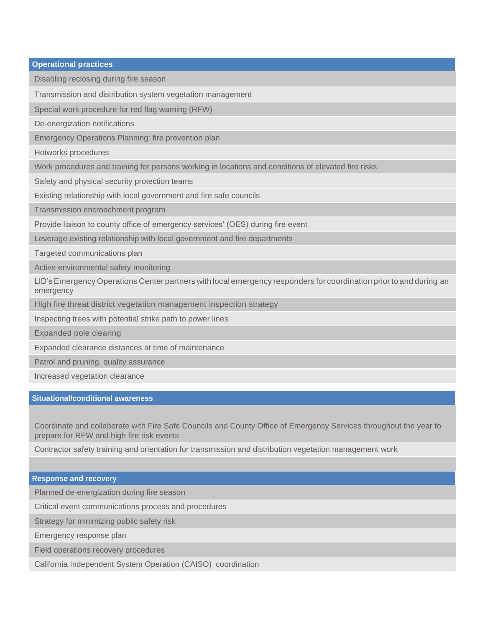| Disabling reclosing during fire season                     |                                                                                                                    |
|------------------------------------------------------------|--------------------------------------------------------------------------------------------------------------------|
| Transmission and distribution system vegetation management |                                                                                                                    |
| Special work procedure for red flag warning (RFW)          |                                                                                                                    |
| De-energization notifications                              |                                                                                                                    |
| Emergency Operations Planning: fire prevention plan        |                                                                                                                    |
| Hotworks procedures                                        |                                                                                                                    |
|                                                            | Work procedures and training for persons working in locations and conditions of elevated fire risks                |
| Safety and physical security protection teams              |                                                                                                                    |
|                                                            | Existing relationship with local government and fire safe councils                                                 |
| Transmission encroachment program                          |                                                                                                                    |
|                                                            | Provide liaison to county office of emergency services' (OES) during fire event                                    |
|                                                            | Leverage existing relationship with local government and fire departments                                          |
| Targeted communications plan                               |                                                                                                                    |
| Active environmental safety monitoring                     |                                                                                                                    |
| emergency                                                  | LID's Emergency Operations Center partners with local emergency responders for coordination prior to and during an |
|                                                            | High fire threat district vegetation management inspection strategy                                                |
| Inspecting trees with potential strike path to power lines |                                                                                                                    |
| Expanded pole clearing                                     |                                                                                                                    |
| Expanded clearance distances at time of maintenance        |                                                                                                                    |
| Patrol and pruning, quality assurance                      |                                                                                                                    |
| Increased vegetation clearance                             |                                                                                                                    |

#### **Situational/conditional awareness**

Coordinate and collaborate with Fire Safe Councils and County Office of Emergency Services throughout the year to prepare for RFW and high fire risk events

Contractor safety training and orientation for transmission and distribution vegetation management work

#### **Response and recovery**

Planned de-energization during fire season

Critical event communications process and procedures

Strategy for minimizing public safety risk

Emergency response plan

Field operations recovery procedures

California Independent System Operation (CAISO) coordination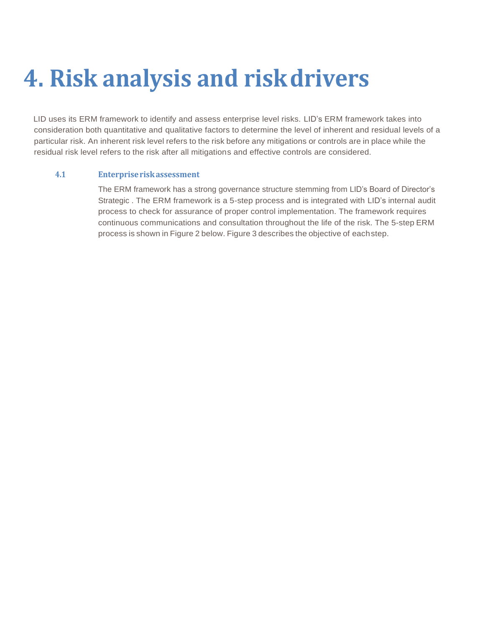# **4. Risk analysis and riskdrivers**

LID uses its ERM framework to identify and assess enterprise level risks. LID's ERM framework takes into consideration both quantitative and qualitative factors to determine the level of inherent and residual levels of a particular risk. An inherent risk level refers to the risk before any mitigations or controls are in place while the residual risk level refers to the risk after all mitigations and effective controls are considered.

### **4.1 Enterpriseriskassessment**

The ERM framework has a strong governance structure stemming from LID's Board of Director's Strategic . The ERM framework is a 5-step process and is integrated with LID's internal audit process to check for assurance of proper control implementation. The framework requires continuous communications and consultation throughout the life of the risk. The 5-step ERM process is shown in Figure 2 below. Figure 3 describes the objective of eachstep.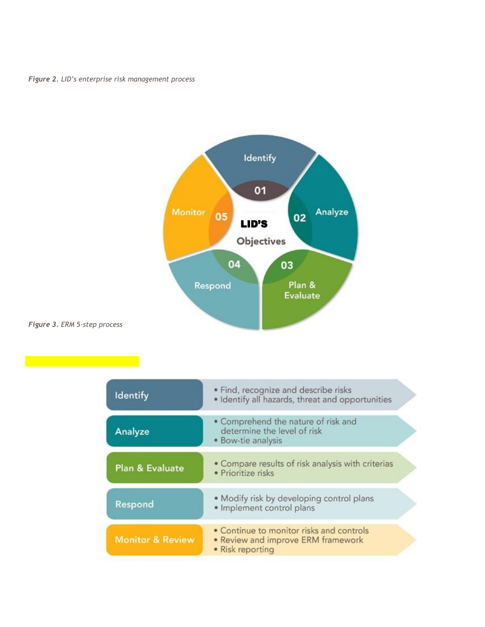*Figure 2. LID's enterprise risk management process*

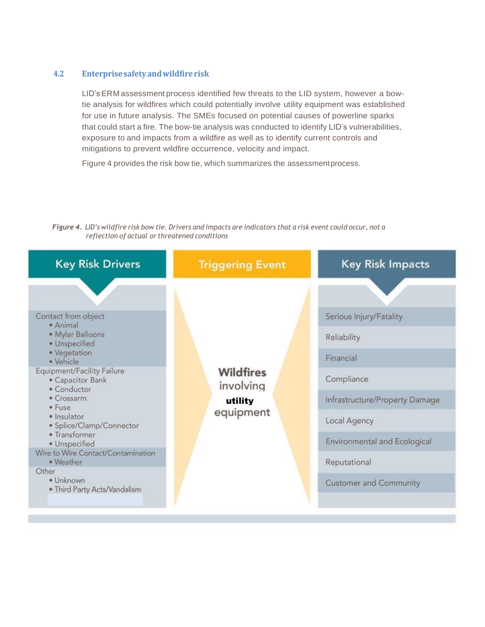#### **4.2 Enterprisesafety andwildfirerisk**

LID'sERM assessment process identified few threats to the LID system, however a bowtie analysis for wildfires which could potentially involve utility equipment was established for use in future analysis. The SMEs focused on potential causes of powerline sparks that could start a fire. The bow-tie analysis was conducted to identify LID's vulnerabilities, exposure to and impacts from a wildfire as well as to identify current controls and mitigations to prevent wildfire occurrence, velocity and impact.

Figure 4 provides the risk bow tie, which summarizes the assessmentprocess.

Figure 4. LID's wildfire risk bow tie. Drivers and impacts are indicators that a risk event could occur, not a *reflection of actual or threatened conditions*

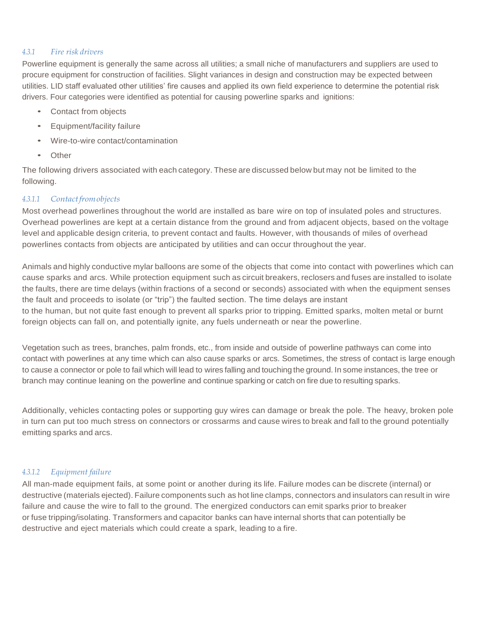#### *4.3.1 Fire risk drivers*

Powerline equipment is generally the same across all utilities; a small niche of manufacturers and suppliers are used to procure equipment for construction of facilities. Slight variances in design and construction may be expected between utilities. LID staff evaluated other utilities' fire causes and applied its own field experience to determine the potential risk drivers. Four categories were identified as potential for causing powerline sparks and ignitions:

- Contact from objects
- Equipment/facility failure
- Wire-to-wire contact/contamination
- Other

The following drivers associated with each category. These are discussed below but may not be limited to the following.

#### *4.3.1.1 Contactfromobjects*

Most overhead powerlines throughout the world are installed as bare wire on top of insulated poles and structures. Overhead powerlines are kept at a certain distance from the ground and from adjacent objects, based on the voltage level and applicable design criteria, to prevent contact and faults. However, with thousands of miles of overhead powerlines contacts from objects are anticipated by utilities and can occur throughout the year.

Animals and highly conductive mylar balloons are some of the objects that come into contact with powerlines which can cause sparks and arcs. While protection equipment such as circuit breakers, reclosers and fuses are installed to isolate the faults, there are time delays (within fractions of a second or seconds) associated with when the equipment senses the fault and proceeds to isolate (or "trip") the faulted section. The time delays are instant to the human, but not quite fast enough to prevent all sparks prior to tripping. Emitted sparks, molten metal or burnt foreign objects can fall on, and potentially ignite, any fuels underneath or near the powerline.

Vegetation such as trees, branches, palm fronds, etc., from inside and outside of powerline pathways can come into contact with powerlines at any time which can also cause sparks or arcs. Sometimes, the stress of contact is large enough to cause a connector or pole to fail which will lead to wires falling and touching the ground. In some instances, the tree or branch may continue leaning on the powerline and continue sparking or catch on fire due to resulting sparks.

Additionally, vehicles contacting poles or supporting guy wires can damage or break the pole. The heavy, broken pole in turn can put too much stress on connectors or crossarms and cause wires to break and fall to the ground potentially emitting sparks and arcs.

#### *4.3.1.2 Equipment failure*

All man-made equipment fails, at some point or another during its life. Failure modes can be discrete (internal) or destructive (materials ejected). Failure components such as hot line clamps, connectors and insulators can result in wire failure and cause the wire to fall to the ground. The energized conductors can emit sparks prior to breaker or fuse tripping/isolating. Transformers and capacitor banks can have internal shorts that can potentially be destructive and eject materials which could create a spark, leading to a fire.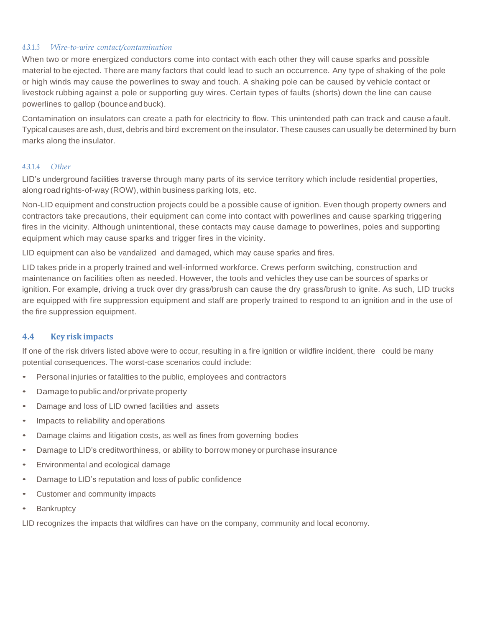#### *4.3.1.3 Wire-to-wire contact/contamination*

When two or more energized conductors come into contact with each other they will cause sparks and possible material to be ejected. There are many factors that could lead to such an occurrence. Any type of shaking of the pole or high winds may cause the powerlines to sway and touch. A shaking pole can be caused by vehicle contact or livestock rubbing against a pole or supporting guy wires. Certain types of faults (shorts) down the line can cause powerlines to gallop (bounceandbuck).

Contamination on insulators can create a path for electricity to flow. This unintended path can track and cause a fault. Typical causes are ash, dust, debris and bird excrement on the insulator. These causes can usually be determined by burn marks along the insulator.

#### *4.3.1.4 Other*

LID's underground facilities traverse through many parts of its service territory which include residential properties, along road rights-of-way (ROW), within business parking lots, etc.

Non-LID equipment and construction projects could be a possible cause of ignition. Even though property owners and contractors take precautions, their equipment can come into contact with powerlines and cause sparking triggering fires in the vicinity. Although unintentional, these contacts may cause damage to powerlines, poles and supporting equipment which may cause sparks and trigger fires in the vicinity.

LID equipment can also be vandalized and damaged, which may cause sparks and fires.

LID takes pride in a properly trained and well-informed workforce. Crews perform switching, construction and maintenance on facilities often as needed. However, the tools and vehicles they use can be sources of sparks or ignition. For example, driving a truck over dry grass/brush can cause the dry grass/brush to ignite. As such, LID trucks are equipped with fire suppression equipment and staff are properly trained to respond to an ignition and in the use of the fire suppression equipment.

#### **4.4 Key risk impacts**

If one of the risk drivers listed above were to occur, resulting in a fire ignition or wildfire incident, there could be many potential consequences. The worst-case scenarios could include:

- Personal injuries or fatalities to the public, employees and contractors
- Damage topublic and/orprivate property
- Damage and loss of LID owned facilities and assets
- Impacts to reliability andoperations
- Damage claims and litigation costs, as well as fines from governing bodies
- Damage to LID's creditworthiness, or ability to borrow money or purchase insurance
- Environmental and ecological damage
- Damage to LID's reputation and loss of public confidence
- Customer and community impacts
- Bankruptcy

LID recognizes the impacts that wildfires can have on the company, community and local economy.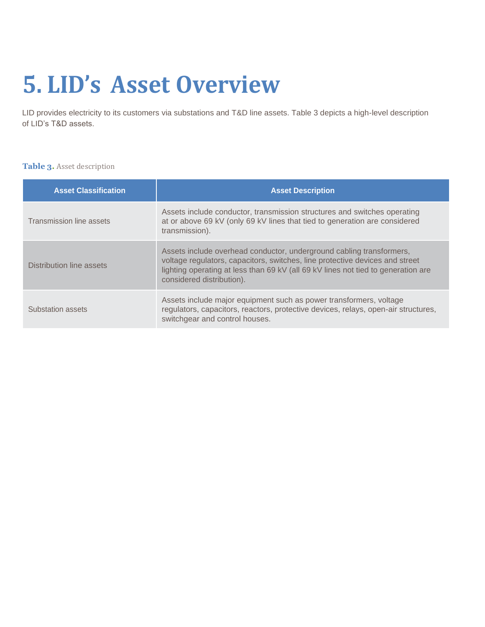# **5. LID's Asset Overview**

LID provides electricity to its customers via substations and T&D line assets. Table 3 depicts a high-level description of LID's T&D assets.

#### **Table 3.** Asset description

| <b>Asset Classification</b> | <b>Asset Description</b>                                                                                                                                                                                                                                               |
|-----------------------------|------------------------------------------------------------------------------------------------------------------------------------------------------------------------------------------------------------------------------------------------------------------------|
| Transmission line assets    | Assets include conductor, transmission structures and switches operating<br>at or above 69 kV (only 69 kV lines that tied to generation are considered<br>transmission).                                                                                               |
| Distribution line assets    | Assets include overhead conductor, underground cabling transformers,<br>voltage regulators, capacitors, switches, line protective devices and street<br>lighting operating at less than 69 kV (all 69 kV lines not tied to generation are<br>considered distribution). |
| Substation assets           | Assets include major equipment such as power transformers, voltage<br>regulators, capacitors, reactors, protective devices, relays, open-air structures,<br>switchgear and control houses.                                                                             |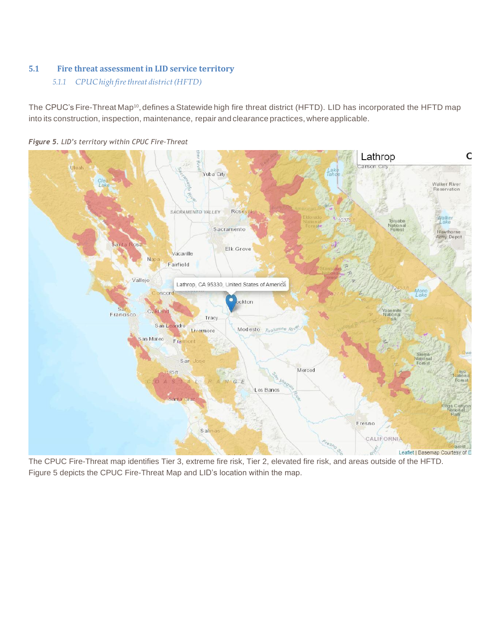# **5.1 Fire threat assessment in LID service territory**

### *5.1.1 CPUC high firethreat district(HFTD)*

The CPUC's Fire-Threat Map<sup>10</sup>, defines a Statewide high fire threat district (HFTD). LID has incorporated the HFTD map into its construction, inspection, maintenance, repair and clearance practices, where applicable.



*Figure 5. LID's territory within CPUC Fire-Threat*

The CPUC Fire-Threat map identifies Tier 3, extreme fire risk, Tier 2, elevated fire risk, and areas outside of the HFTD. Figure 5 depicts the CPUC Fire-Threat Map and LID's location within the map.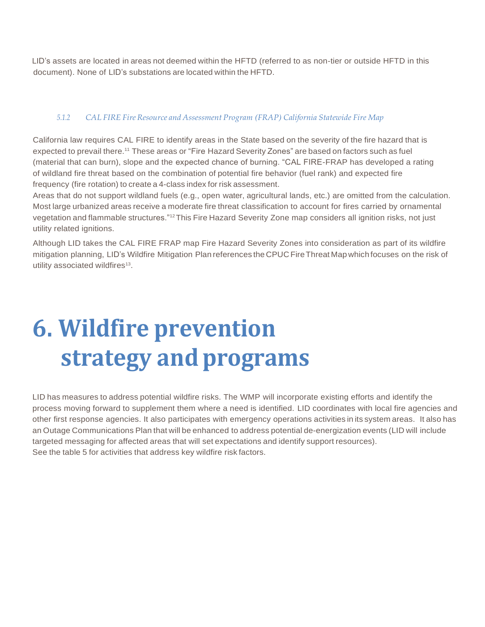LID's assets are located in areas not deemed within the HFTD (referred to as non-tier or outside HFTD in this document). None of LID's substations are located within the HFTD.

### *5.1.2 CAL FIRE Fire Resource and Assessment Program (FRAP) California Statewide Fire Map*

California law requires CAL FIRE to identify areas in the State based on the severity of the fire hazard that is expected to prevail there.<sup>11</sup> These areas or "Fire Hazard Severity Zones" are based on factors such as fuel (material that can burn), slope and the expected chance of burning. "CAL FIRE-FRAP has developed a rating of wildland fire threat based on the combination of potential fire behavior (fuel rank) and expected fire frequency (fire rotation) to create a 4-class index for risk assessment.

Areas that do not support wildland fuels (e.g., open water, agricultural lands, etc.) are omitted from the calculation. Most large urbanized areas receive a moderate fire threat classification to account for fires carried by ornamental vegetation and flammable structures."12This Fire Hazard Severity Zone map considers all ignition risks, not just utility related ignitions.

Although LID takes the CAL FIRE FRAP map Fire Hazard Severity Zones into consideration as part of its wildfire mitigation planning, LID's Wildfire Mitigation Plan references the CPUC FireThreat Map which focuses on the risk of utility associated wildfires<sup>13</sup>.

# **6. Wildfire prevention strategy and programs**

LID has measures to address potential wildfire risks. The WMP will incorporate existing efforts and identify the process moving forward to supplement them where a need is identified. LID coordinates with local fire agencies and other first response agencies. It also participates with emergency operations activities in its system areas. It also has an Outage Communications Plan that will be enhanced to address potential de-energization events (LID will include targeted messaging for affected areas that will set expectations and identify support resources). See the table 5 for activities that address key wildfire risk factors.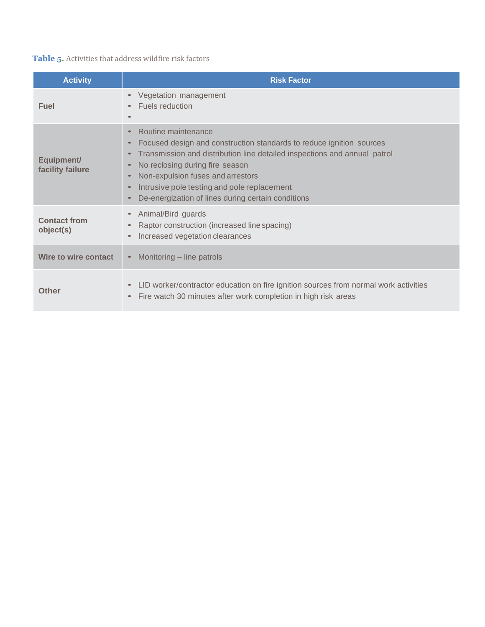# **Table 5.** Activities that address wildfire risk factors

| <b>Activity</b>                  | <b>Risk Factor</b>                                                                                                                                                                                                                                                                                                                                    |
|----------------------------------|-------------------------------------------------------------------------------------------------------------------------------------------------------------------------------------------------------------------------------------------------------------------------------------------------------------------------------------------------------|
| Fuel                             | Vegetation management<br>$\bullet$<br>Fuels reduction<br>$\qquad \qquad \bullet$                                                                                                                                                                                                                                                                      |
| Equipment/<br>facility failure   | Routine maintenance<br>Focused design and construction standards to reduce ignition sources<br>Transmission and distribution line detailed inspections and annual patrol<br>No reclosing during fire season<br>Non-expulsion fuses and arrestors<br>Intrusive pole testing and pole replacement<br>De-energization of lines during certain conditions |
| <b>Contact from</b><br>object(s) | Animal/Bird guards<br>Raptor construction (increased line spacing)<br>Increased vegetation clearances                                                                                                                                                                                                                                                 |
| Wire to wire contact             | Monitoring – line patrols<br>$\bullet$                                                                                                                                                                                                                                                                                                                |
| Other                            | LID worker/contractor education on fire ignition sources from normal work activities<br>$\bullet$<br>Fire watch 30 minutes after work completion in high risk areas                                                                                                                                                                                   |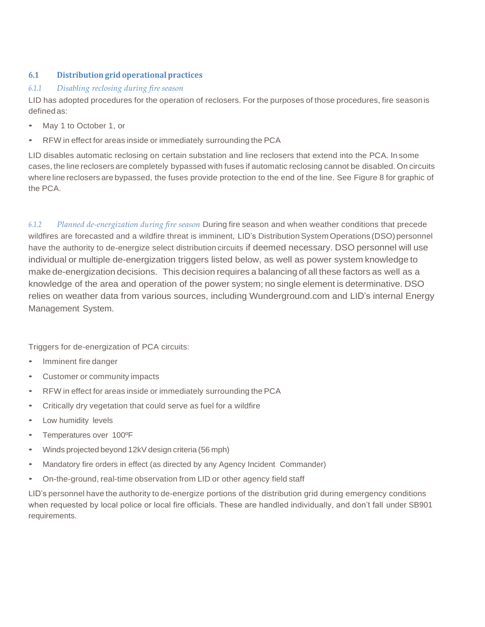# **6.1 Distribution grid operational practices**

#### *6.1.1 Disabling reclosing during fire season*

LID has adopted procedures for the operation of reclosers. For the purposes of those procedures, fire seasonis definedas:

- May 1 to October 1, or
- RFW in effect for areas inside or immediately surrounding the PCA

LID disables automatic reclosing on certain substation and line reclosers that extend into the PCA. In some cases, the line reclosers are completely bypassed with fuses if automatic reclosing cannot be disabled. On circuits where line reclosers are bypassed, the fuses provide protection to the end of the line. See Figure 8 for graphic of the PCA.

*6.1.2 Planned de-energization during fire season* During fire season and when weather conditions that precede wildfires are forecasted and a wildfire threat is imminent, LID's Distribution System Operations (DSO) personnel have the authority to de-energize select distribution circuits if deemed necessary. DSO personnel will use individual or multiple de-energization triggers listed below, as well as power system knowledge to make de-energization decisions. This decision requires a balancing of all these factors as well as a knowledge of the area and operation of the power system; no single element is determinative. DSO relies on weather data from various sources, including Wunderground.com and LID's internal Energy Management System.

Triggers for de-energization of PCA circuits:

- Imminent fire danger
- Customer or community impacts
- RFW in effect for areas inside or immediately surrounding the PCA
- Critically dry vegetation that could serve as fuel for a wildfire
- Low humidity levels
- Temperatures over 100ºF
- Winds projected beyond 12kV design criteria (56 mph)
- Mandatory fire orders in effect (as directed by any Agency Incident Commander)
- On-the-ground, real-time observation from LID or other agency field staff

LID's personnel have the authority to de-energize portions of the distribution grid during emergency conditions when requested by local police or local fire officials. These are handled individually, and don't fall under SB901 requirements.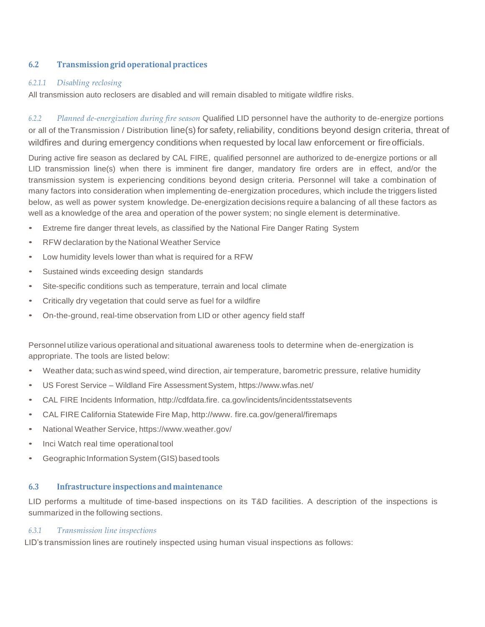### **6.2 Transmissiongrid operationalpractices**

#### *6.2.1.1 Disabling reclosing*

All transmission auto reclosers are disabled and will remain disabled to mitigate wildfire risks.

*6.2.2 Planned de-energization during fire season* Qualified LID personnel have the authority to de-energize portions or all of the Transmission / Distribution line(s) for safety, reliability, conditions beyond design criteria, threat of wildfires and during emergency conditions when requested by local law enforcement or fireofficials.

During active fire season as declared by CAL FIRE, qualified personnel are authorized to de-energize portions or all LID transmission line(s) when there is imminent fire danger, mandatory fire orders are in effect, and/or the transmission system is experiencing conditions beyond design criteria. Personnel will take a combination of many factors into consideration when implementing de-energization procedures, which include the triggers listed below, as well as power system knowledge. De-energization decisions require a balancing of all these factors as well as a knowledge of the area and operation of the power system; no single element is determinative.

- Extreme fire danger threat levels, as classified by the National Fire Danger Rating System
- RFW declaration by the National Weather Service
- Low humidity levels lower than what is required for a RFW
- Sustained winds exceeding design standards
- Site-specific conditions such as temperature, terrain and local climate
- Critically dry vegetation that could serve as fuel for a wildfire
- On-the-ground, real-time observation from LID or other agency field staff

Personnel utilize various operational and situational awareness tools to determine when de-energization is appropriate. The tools are listed below:

- Weather data; such as wind speed, wind direction, air temperature, barometric pressure, relative humidity
- US Forest Service Wildland Fire AssessmentSystem, [https://www.wfas.net/](http://www.wfas.net/)
- CAL FIRE Incidents Information, [http://cdfdata.fire.](http://cdfdata.fire/) ca.gov/incidents/incidentsstatsevents
- CAL FIRE California Statewide Fire Map, [http://www.](http://www/) fire.ca.gov/general/firemaps
- National Weather Service, [https://www.](http://www.weather.gov/)weathe[r.gov/](http://www.weather.gov/)
- Inci Watch real time operationaltool
- Geographic Information System (GIS) based tools

#### **6.3 Infrastructure inspections andmaintenance**

LID performs a multitude of time-based inspections on its T&D facilities. A description of the inspections is summarized in the following sections.

#### *6.3.1 Transmission line inspections*

LID's transmission lines are routinely inspected using human visual inspections as follows: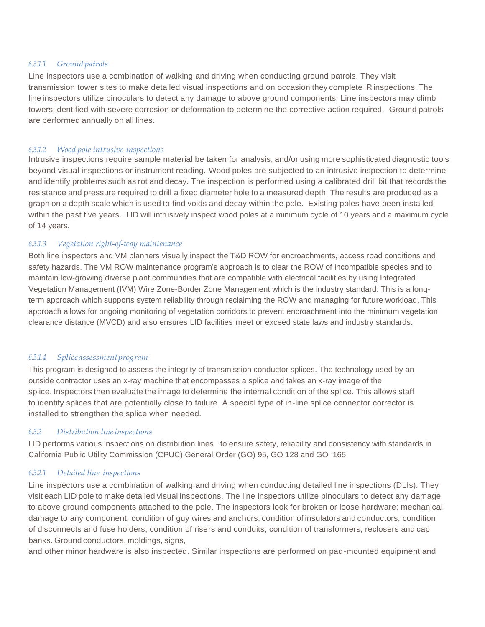#### *6.3.1.1 Ground patrols*

Line inspectors use a combination of walking and driving when conducting ground patrols. They visit transmission tower sites to make detailed visual inspections and on occasion they complete IR inspections. The line inspectors utilize binoculars to detect any damage to above ground components. Line inspectors may climb towers identified with severe corrosion or deformation to determine the corrective action required. Ground patrols are performed annually on all lines.

#### *6.3.1.2 Wood pole intrusive inspections*

Intrusive inspections require sample material be taken for analysis, and/or using more sophisticated diagnostic tools beyond visual inspections or instrument reading. Wood poles are subjected to an intrusive inspection to determine and identify problems such as rot and decay. The inspection is performed using a calibrated drill bit that records the resistance and pressure required to drill a fixed diameter hole to a measured depth. The results are produced as a graph on a depth scale which is used to find voids and decay within the pole. Existing poles have been installed within the past five years. LID will intrusively inspect wood poles at a minimum cycle of 10 years and a maximum cycle of 14 years.

#### *6.3.1.3 Vegetation right-of-way maintenance*

Both line inspectors and VM planners visually inspect the T&D ROW for encroachments, access road conditions and safety hazards. The VM ROW maintenance program's approach is to clear the ROW of incompatible species and to maintain low-growing diverse plant communities that are compatible with electrical facilities by using Integrated Vegetation Management (IVM) Wire Zone-Border Zone Management which is the industry standard. This is a longterm approach which supports system reliability through reclaiming the ROW and managing for future workload. This approach allows for ongoing monitoring of vegetation corridors to prevent encroachment into the minimum vegetation clearance distance (MVCD) and also ensures LID facilities meet or exceed state laws and industry standards.

#### *6.3.1.4 Spliceassessmentprogram*

This program is designed to assess the integrity of transmission conductor splices. The technology used by an outside contractor uses an x-ray machine that encompasses a splice and takes an x-ray image of the splice. Inspectors then evaluate the image to determine the internal condition of the splice. This allows staff to identify splices that are potentially close to failure. A special type of in-line splice connector corrector is installed to strengthen the splice when needed.

#### *6.3.2 Distribution lineinspections*

LID performs various inspections on distribution lines to ensure safety, reliability and consistency with standards in California Public Utility Commission (CPUC) General Order (GO) 95, GO 128 and GO 165.

#### *6.3.2.1 Detailed line inspections*

Line inspectors use a combination of walking and driving when conducting detailed line inspections (DLIs). They visit each LID pole to make detailed visual inspections. The line inspectors utilize binoculars to detect any damage to above ground components attached to the pole. The inspectors look for broken or loose hardware; mechanical damage to any component; condition of guy wires and anchors; condition of insulators and conductors; condition of disconnects and fuse holders; condition of risers and conduits; condition of transformers, reclosers and cap banks. Ground conductors, moldings, signs,

and other minor hardware is also inspected. Similar inspections are performed on pad-mounted equipment and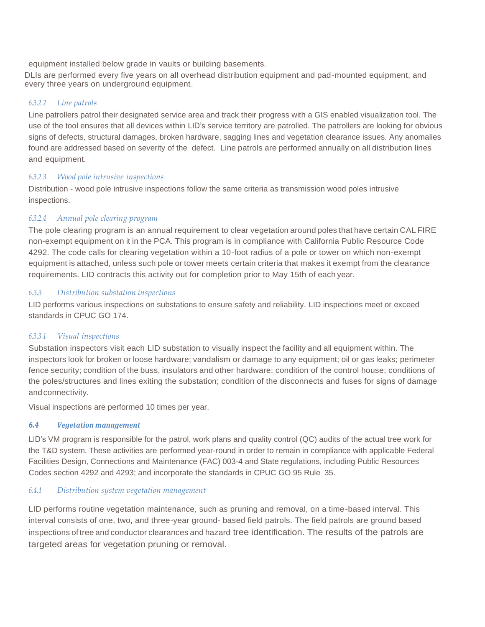equipment installed below grade in vaults or building basements.

DLIs are performed every five years on all overhead distribution equipment and pad-mounted equipment, and every three years on underground equipment.

#### *6.3.2.2 Line patrols*

Line patrollers patrol their designated service area and track their progress with a GIS enabled visualization tool. The use of the tool ensures that all devices within LID's service territory are patrolled. The patrollers are looking for obvious signs of defects, structural damages, broken hardware, sagging lines and vegetation clearance issues. Any anomalies found are addressed based on severity of the defect. Line patrols are performed annually on all distribution lines and equipment.

#### *6.3.2.3 Wood pole intrusive inspections*

Distribution - wood pole intrusive inspections follow the same criteria as transmission wood poles intrusive inspections.

# *6.3.2.4 Annual pole clearing program*

The pole clearing program is an annual requirement to clear vegetation around poles that have certain CAL FIRE non-exempt equipment on it in the PCA. This program is in compliance with California Public Resource Code 4292. The code calls for clearing vegetation within a 10-foot radius of a pole or tower on which non-exempt equipment is attached, unless such pole or tower meets certain criteria that makes it exempt from the clearance requirements. LID contracts this activity out for completion prior to May 15th of each year.

#### *6.3.3 Distribution substation inspections*

LID performs various inspections on substations to ensure safety and reliability. LID inspections meet or exceed standards in CPUC GO 174.

#### *6.3.3.1 Visual inspections*

Substation inspectors visit each LID substation to visually inspect the facility and all equipment within. The inspectors look for broken or loose hardware; vandalism or damage to any equipment; oil or gas leaks; perimeter fence security; condition of the buss, insulators and other hardware; condition of the control house; conditions of the poles/structures and lines exiting the substation; condition of the disconnects and fuses for signs of damage andconnectivity.

Visual inspections are performed 10 times per year.

#### *6.4 Vegetation management*

LID's VM program is responsible for the patrol, work plans and quality control (QC) audits of the actual tree work for the T&D system. These activities are performed year-round in order to remain in compliance with applicable Federal Facilities Design, Connections and Maintenance (FAC) 003-4 and State regulations, including Public Resources Codes section 4292 and 4293; and incorporate the standards in CPUC GO 95 Rule 35.

#### *6.4.1 Distribution system vegetation management*

LID performs routine vegetation maintenance, such as pruning and removal, on a time-based interval. This interval consists of one, two, and three-year ground- based field patrols. The field patrols are ground based inspections of tree and conductor clearances and hazard tree identification. The results of the patrols are targeted areas for vegetation pruning or removal.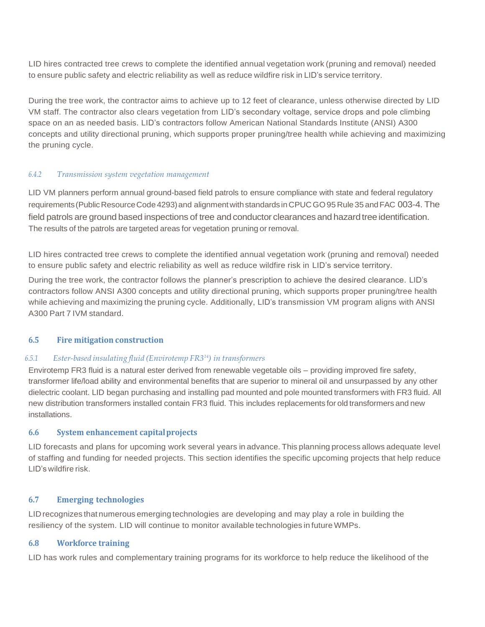LID hires contracted tree crews to complete the identified annual vegetation work (pruning and removal) needed to ensure public safety and electric reliability as well as reduce wildfire risk in LID's service territory.

During the tree work, the contractor aims to achieve up to 12 feet of clearance, unless otherwise directed by LID VM staff. The contractor also clears vegetation from LID's secondary voltage, service drops and pole climbing space on an as needed basis. LID's contractors follow American National Standards Institute (ANSI) A300 concepts and utility directional pruning, which supports proper pruning/tree health while achieving and maximizing the pruning cycle.

#### *6.4.2 Transmission system vegetation management*

LID VM planners perform annual ground-based field patrols to ensure compliance with state and federal regulatory requirements (Public Resource Code 4293) and alignment with standards in CPUCGO 95 Rule 35 and FAC 003-4. The field patrols are ground based inspections of tree and conductor clearances and hazard tree identification. The results of the patrols are targeted areas for vegetation pruning or removal.

LID hires contracted tree crews to complete the identified annual vegetation work (pruning and removal) needed to ensure public safety and electric reliability as well as reduce wildfire risk in LID's service territory.

During the tree work, the contractor follows the planner's prescription to achieve the desired clearance. LID's contractors follow ANSI A300 concepts and utility directional pruning, which supports proper pruning/tree health while achieving and maximizing the pruning cycle. Additionally, LID's transmission VM program aligns with ANSI A300 Part 7 IVM standard.

#### **6.5 Fire mitigation construction**

#### *6.5.1 Ester-based insulating fluid (Envirotemp FR314) in transformers*

Envirotemp FR3 fluid is a natural ester derived from renewable vegetable oils – providing improved fire safety, transformer life/load ability and environmental benefits that are superior to mineral oil and unsurpassed by any other dielectric coolant. LID began purchasing and installing pad mounted and pole mounted transformers with FR3 fluid. All new distribution transformers installed contain FR3 fluid. This includes replacements for old transformers and new installations.

#### **6.6 System enhancement capitalprojects**

LID forecasts and plans for upcoming work several years in advance. This planning process allows adequate level of staffing and funding for needed projects. This section identifies the specific upcoming projects that help reduce LID's wildfire risk.

#### **6.7 Emerging technologies**

LID recognizes that numerous emerging technologies are developing and may play a role in building the resiliency of the system. LID will continue to monitor available technologies in future WMPs.

#### **6.8 Workforce training**

LID has work rules and complementary training programs for its workforce to help reduce the likelihood of the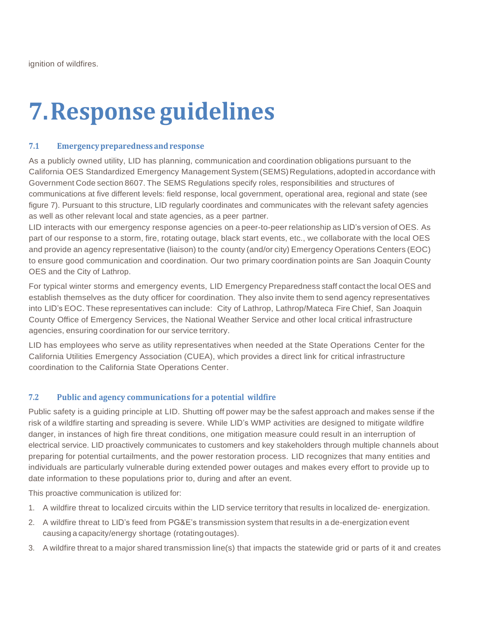# **7.Response guidelines**

#### **7.1 Emergencypreparedness andresponse**

As a publicly owned utility, LID has planning, communication and coordination obligations pursuant to the California OES Standardized Emergency Management System(SEMS)Regulations,adoptedin accordance with Government Code section 8607. The SEMS Regulations specify roles, responsibilities and structures of communications at five different levels: field response, local government, operational area, regional and state (see figure 7). Pursuant to this structure, LID regularly coordinates and communicates with the relevant safety agencies as well as other relevant local and state agencies, as a peer partner.

LID interacts with our emergency response agencies on a peer-to-peer relationship as LID's version of OES. As part of our response to a storm, fire, rotating outage, black start events, etc., we collaborate with the local OES and provide an agency representative (liaison) to the county (and/or city) Emergency Operations Centers (EOC) to ensure good communication and coordination. Our two primary coordination points are San Joaquin County OES and the City of Lathrop.

For typical winter storms and emergency events, LID Emergency Preparedness staff contact the local OES and establish themselves as the duty officer for coordination. They also invite them to send agency representatives into LID's EOC. These representatives can include: City of Lathrop, Lathrop/Mateca Fire Chief, San Joaquin County Office of Emergency Services, the National Weather Service and other local critical infrastructure agencies, ensuring coordination for our service territory.

LID has employees who serve as utility representatives when needed at the State Operations Center for the California Utilities Emergency Association (CUEA), which provides a direct link for critical infrastructure coordination to the California State Operations Center.

# **7.2 Public and agency communications for a potential wildfire**

Public safety is a guiding principle at LID. Shutting off power may be the safest approach and makes sense if the risk of a wildfire starting and spreading is severe. While LID's WMP activities are designed to mitigate wildfire danger, in instances of high fire threat conditions, one mitigation measure could result in an interruption of electrical service. LID proactively communicates to customers and key stakeholders through multiple channels about preparing for potential curtailments, and the power restoration process. LID recognizes that many entities and individuals are particularly vulnerable during extended power outages and makes every effort to provide up to date information to these populations prior to, during and after an event.

This proactive communication is utilized for:

- 1. A wildfire threat to localized circuits within the LID service territory that results in localized de- energization.
- 2. A wildfire threat to LID's feed from PG&E's transmission system that results in a de-energization event causing a capacity/energy shortage (rotatingoutages).
- 3. A wildfire threat to a major shared transmission line(s) that impacts the statewide grid or parts of it and creates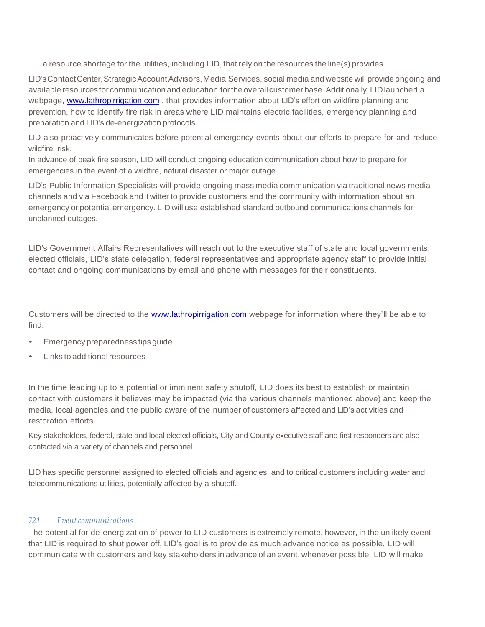a resource shortage for the utilities, including LID, that rely on the resources the line(s) provides.

LID'sContactCenter,StrategicAccountAdvisors,Media Services, social media and website will provide ongoing and available resources for communication and education for the overall customer base. Additionally, LID launched a webpage, [www.lathropirrigation.com](http://www.lathropirrigation.com/), that provides information about LID's effort on wildfire planning and prevention, how to identify fire risk in areas where LID maintains electric facilities, emergency planning and preparation and LID's de-energization protocols.

LID also proactively communicates before potential emergency events about our efforts to prepare for and reduce wildfire risk.

In advance of peak fire season, LID will conduct ongoing education communication about how to prepare for emergencies in the event of a wildfire, natural disaster or major outage.

LID's Public Information Specialists will provide ongoing mass media communication via traditional news media channels and via Facebook and Twitter to provide customers and the community with information about an emergency or potential emergency. LID will use established standard outbound communications channels for unplanned outages.

LID's Government Affairs Representatives will reach out to the executive staff of state and local governments, elected officials, LID's state delegation, federal representatives and appropriate agency staff to provide initial contact and ongoing communications by email and phone with messages for their constituents.

Customers will be directed to the [www.lathropirrigation.com](http://www.lathropirrigation.com/) webpage for information where they'll be able to find:

- Emergency preparedness tips guide
- **Links to additional resources**

In the time leading up to a potential or imminent safety shutoff, LID does its best to establish or maintain contact with customers it believes may be impacted (via the various channels mentioned above) and keep the media, local agencies and the public aware of the number of customers affected and LID's activities and restoration efforts.

Key stakeholders, federal, state and local elected officials, City and County executive staff and first responders are also contacted via a variety of channels and personnel.

LID has specific personnel assigned to elected officials and agencies, and to critical customers including water and telecommunications utilities, potentially affected by a shutoff.

#### *7.2.1 Event communications*

The potential for de-energization of power to LID customers is extremely remote, however, in the unlikely event that LID is required to shut power off, LID's goal is to provide as much advance notice as possible. LID will communicate with customers and key stakeholders in advance of an event, whenever possible. LID will make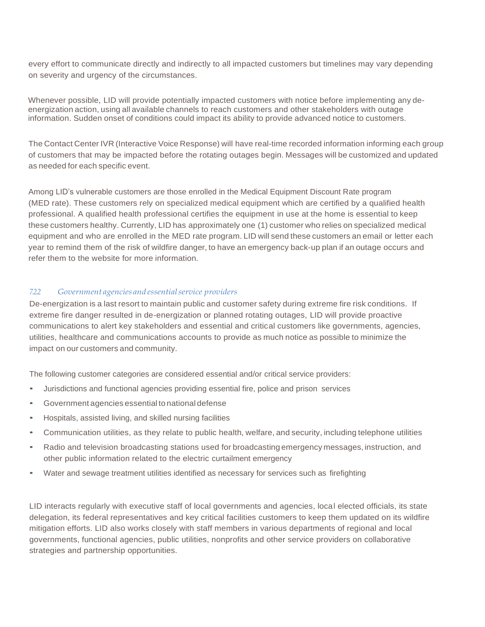every effort to communicate directly and indirectly to all impacted customers but timelines may vary depending on severity and urgency of the circumstances.

Whenever possible, LID will provide potentially impacted customers with notice before implementing any deenergization action, using all available channels to reach customers and other stakeholders with outage information. Sudden onset of conditions could impact its ability to provide advanced notice to customers.

The Contact Center IVR (Interactive Voice Response) will have real-time recorded information informing each group of customers that may be impacted before the rotating outages begin. Messages will be customized and updated as needed for each specific event.

Among LID's vulnerable customers are those enrolled in the Medical Equipment Discount Rate program (MED rate). These customers rely on specialized medical equipment which are certified by a qualified health professional. A qualified health professional certifies the equipment in use at the home is essential to keep these customers healthy. Currently, LID has approximately one (1) customer who relies on specialized medical equipment and who are enrolled in the MED rate program. LID will send these customers an email or letter each year to remind them of the risk of wildfire danger, to have an emergency back-up plan if an outage occurs and refer them to the website for more information.

#### *7.2.2 Government agencies and essentialservice providers*

De-energization is a last resort to maintain public and customer safety during extreme fire risk conditions. If extreme fire danger resulted in de-energization or planned rotating outages, LID will provide proactive communications to alert key stakeholders and essential and critical customers like governments, agencies, utilities, healthcare and communications accounts to provide as much notice as possible to minimize the impact on our customers and community.

The following customer categories are considered essential and/or critical service providers:

- Jurisdictions and functional agencies providing essential fire, police and prison services
- Government agencies essential to national defense
- Hospitals, assisted living, and skilled nursing facilities
- Communication utilities, as they relate to public health, welfare, and security, including telephone utilities
- Radio and television broadcasting stations used for broadcasting emergency messages, instruction, and other public information related to the electric curtailment emergency
- Water and sewage treatment utilities identified as necessary for services such as firefighting

LID interacts regularly with executive staff of local governments and agencies, local elected officials, its state delegation, its federal representatives and key critical facilities customers to keep them updated on its wildfire mitigation efforts. LID also works closely with staff members in various departments of regional and local governments, functional agencies, public utilities, nonprofits and other service providers on collaborative strategies and partnership opportunities.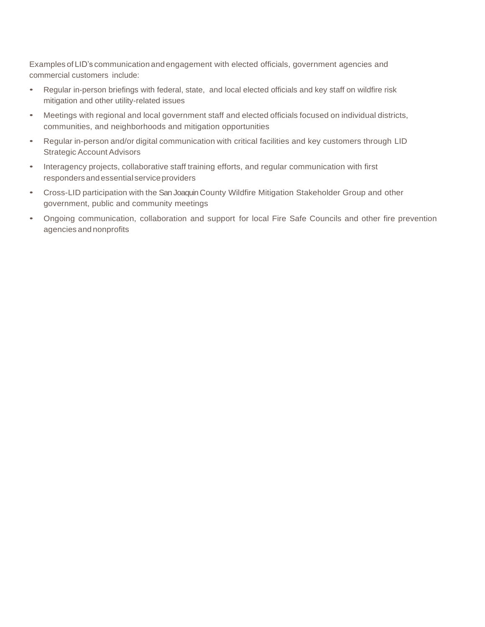Examples of LID's communication and engagement with elected officials, government agencies and commercial customers include:

- Regular in-person briefings with federal, state, and local elected officials and key staff on wildfire risk mitigation and other utility-related issues
- Meetings with regional and local government staff and elected officials focused on individual districts, communities, and neighborhoods and mitigation opportunities
- Regular in-person and/or digital communication with critical facilities and key customers through LID Strategic Account Advisors
- Interagency projects, collaborative staff training efforts, and regular communication with first responders and essential service providers
- Cross-LID participation with the San Joaquin County Wildfire Mitigation Stakeholder Group and other government, public and community meetings
- Ongoing communication, collaboration and support for local Fire Safe Councils and other fire prevention agencies and nonprofits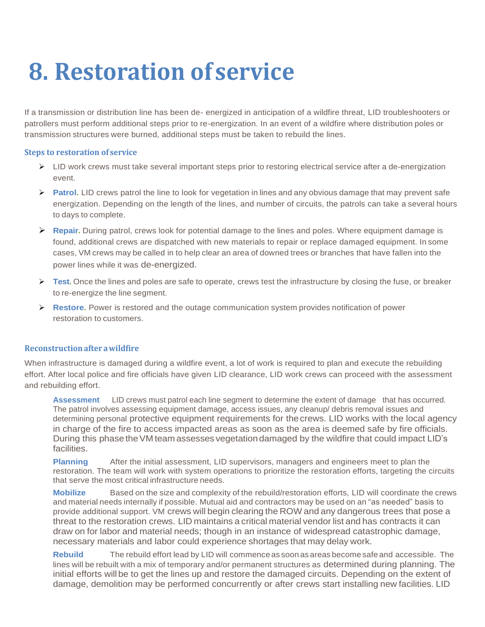# **8. Restoration of service**

If a transmission or distribution line has been de- energized in anticipation of a wildfire threat, LID troubleshooters or patrollers must perform additional steps prior to re-energization. In an event of a wildfire where distribution poles or transmission structures were burned, additional steps must be taken to rebuild the lines.

#### **Steps to restoration of service**

- ➢ LID work crews must take several important steps prior to restoring electrical service after a de-energization event.
- ➢ **Patrol.** LID crews patrol the line to look for vegetation in lines and any obvious damage that may prevent safe energization. Depending on the length of the lines, and number of circuits, the patrols can take a several hours to days to complete.
- ➢ **Repair.** During patrol, crews look for potential damage to the lines and poles. Where equipment damage is found, additional crews are dispatched with new materials to repair or replace damaged equipment. In some cases, VM crews may be called in to help clear an area of downed trees or branches that have fallen into the power lines while it was de-energized.
- ➢ **Test.** Once the lines and poles are safe to operate, crews test the infrastructure by closing the fuse, or breaker to re-energize the line segment.
- ➢ **Restore.** Power is restored and the outage communication system provides notification of power restoration to customers.

# **Reconstructionafter awildfire**

When infrastructure is damaged during a wildfire event, a lot of work is required to plan and execute the rebuilding effort. After local police and fire officials have given LID clearance, LID work crews can proceed with the assessment and rebuilding effort.

**Assessment** LID crews must patrol each line segment to determine the extent of damage that has occurred. The patrol involves assessing equipment damage, access issues, any cleanup/ debris removal issues and determining personal protective equipment requirements for thecrews. LID works with the local agency in charge of the fire to access impacted areas as soon as the area is deemed safe by fire officials. During this phase the VM team assesses vegetation damaged by the wildfire that could impact LID's facilities.

**Planning** After the initial assessment, LID supervisors, managers and engineers meet to plan the restoration. The team will work with system operations to prioritize the restoration efforts, targeting the circuits that serve the most critical infrastructure needs.

**Mobilize** Based on the size and complexity of the rebuild/restoration efforts, LID will coordinate the crews and material needs internally if possible. Mutual aid and contractors may be used on an "as needed" basis to provide additional support. VM crews will begin clearing the ROW and any dangerous trees that pose a threat to the restoration crews. LID maintains a critical material vendor list and has contracts it can draw on for labor and material needs; though in an instance of widespread catastrophic damage, necessary materials and labor could experience shortages that may delay work.

**Rebuild** The rebuild effort lead by LID will commence as soon as areas become safe and accessible. The lines will be rebuilt with a mix of temporary and/or permanent structures as determined during planning. The initial efforts willbe to get the lines up and restore the damaged circuits. Depending on the extent of damage, demolition may be performed concurrently or after crews start installing new facilities. LID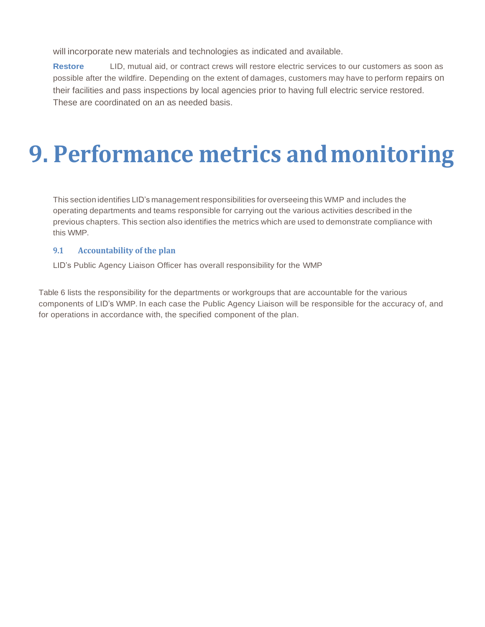will incorporate new materials and technologies as indicated and available.

**Restore** LID, mutual aid, or contract crews will restore electric services to our customers as soon as possible after the wildfire. Depending on the extent of damages, customers may have to perform repairs on their facilities and pass inspections by local agencies prior to having full electric service restored. These are coordinated on an as needed basis.

# **9. Performance metrics and monitoring**

This section identifies LID's management responsibilities for overseeing this WMP and includes the operating departments and teams responsible for carrying out the various activities described in the previous chapters. This section also identifies the metrics which are used to demonstrate compliance with this WMP.

# **9.1 Accountability of the plan**

LID's Public Agency Liaison Officer has overall responsibility for the WMP

Table 6 lists the responsibility for the departments or workgroups that are accountable for the various components of LID's WMP. In each case the Public Agency Liaison will be responsible for the accuracy of, and for operations in accordance with, the specified component of the plan.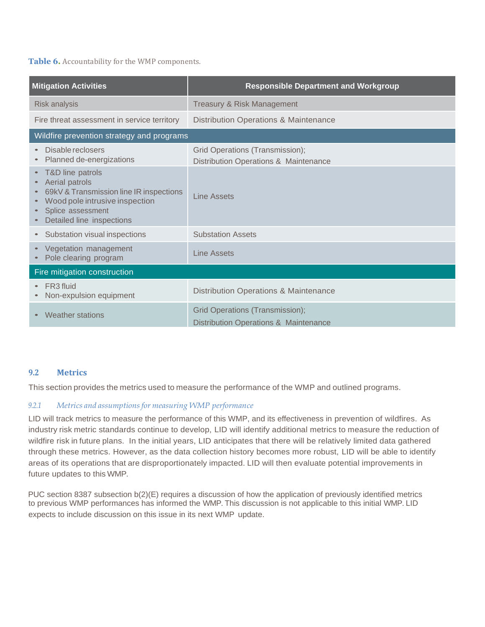#### **Table 6.** Accountability for the WMP components.

| <b>Mitigation Activities</b>                                                                                                                                      | <b>Responsible Department and Workgroup</b>                              |
|-------------------------------------------------------------------------------------------------------------------------------------------------------------------|--------------------------------------------------------------------------|
| <b>Risk analysis</b>                                                                                                                                              | Treasury & Risk Management                                               |
| Fire threat assessment in service territory                                                                                                                       | Distribution Operations & Maintenance                                    |
| Wildfire prevention strategy and programs                                                                                                                         |                                                                          |
| Disable reclosers<br>Planned de-energizations                                                                                                                     | Grid Operations (Transmission);<br>Distribution Operations & Maintenance |
| T&D line patrols<br>Aerial patrols<br>69kV & Transmission line IR inspections<br>Wood pole intrusive inspection<br>Splice assessment<br>Detailed line inspections | Line Assets                                                              |
| Substation visual inspections                                                                                                                                     | <b>Substation Assets</b>                                                 |
| Vegetation management<br>Pole clearing program                                                                                                                    | <b>Line Assets</b>                                                       |
| Fire mitigation construction                                                                                                                                      |                                                                          |
| FR <sub>3</sub> fluid<br>Non-expulsion equipment                                                                                                                  | Distribution Operations & Maintenance                                    |
| <b>Weather stations</b>                                                                                                                                           | Grid Operations (Transmission);<br>Distribution Operations & Maintenance |

# **9.2 Metrics**

This section provides the metrics used to measure the performance of the WMP and outlined programs.

# *9.2.1 Metrics and assumptionsfor measuring WMP performance*

LID will track metrics to measure the performance of this WMP, and its effectiveness in prevention of wildfires. As industry risk metric standards continue to develop, LID will identify additional metrics to measure the reduction of wildfire risk in future plans. In the initial years, LID anticipates that there will be relatively limited data gathered through these metrics. However, as the data collection history becomes more robust, LID will be able to identify areas of its operations that are disproportionately impacted. LID will then evaluate potential improvements in future updates to this WMP.

PUC section 8387 subsection b(2)(E) requires a discussion of how the application of previously identified metrics to previous WMP performances has informed the WMP. This discussion is not applicable to this initial WMP. LID expects to include discussion on this issue in its next WMP update.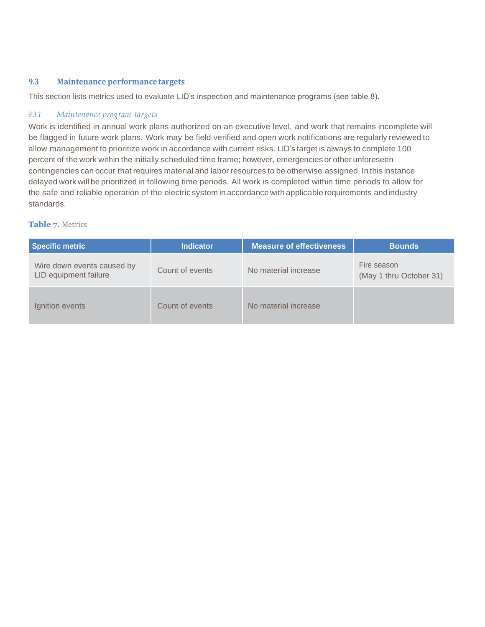### **9.3 Maintenance performancetargets**

This section lists metrics used to evaluate LID's inspection and maintenance programs (see table 8).

#### *9.3.1 Maintenance program targets*

Work is identified in annual work plans authorized on an executive level, and work that remains incomplete will be flagged in future work plans. Work may be field verified and open work notifications are regularly reviewed to allow management to prioritize work in accordance with current risks. LID's target is always to complete 100 percent of the work within the initially scheduled time frame; however, emergencies or other unforeseen contingencies can occur that requires material and labor resources to be otherwise assigned. In this instance delayed work will be prioritized in following time periods. All work is completed within time periods to allow for the safe and reliable operation of the electric system in accordance with applicable requirements andindustry standards.

#### **Table 7.** Metrics

| <b>Specific metric</b>                              | <b>Indicator</b> | <b>Measure of effectiveness</b> | <b>Bounds</b>                          |
|-----------------------------------------------------|------------------|---------------------------------|----------------------------------------|
| Wire down events caused by<br>LID equipment failure | Count of events  | No material increase            | Fire season<br>(May 1 thru October 31) |
| Ignition events                                     | Count of events  | No material increase            |                                        |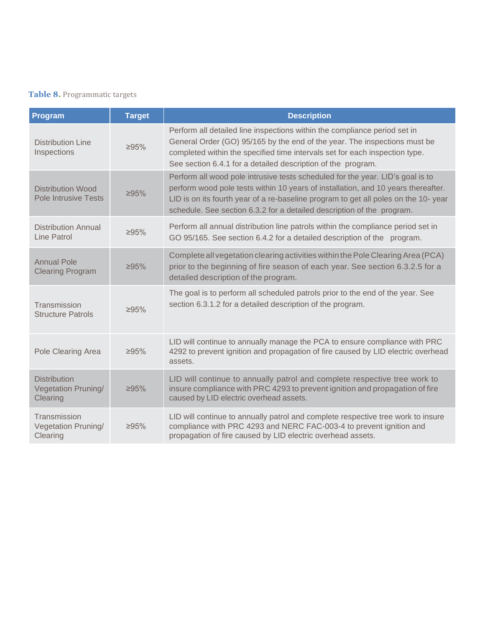# **Table 8.** Programmatic targets

| Program                                                       | <b>Target</b> | <b>Description</b>                                                                                                                                                                                                                                                                                                                  |
|---------------------------------------------------------------|---------------|-------------------------------------------------------------------------------------------------------------------------------------------------------------------------------------------------------------------------------------------------------------------------------------------------------------------------------------|
| <b>Distribution Line</b><br>Inspections                       | $\geq 95\%$   | Perform all detailed line inspections within the compliance period set in<br>General Order (GO) 95/165 by the end of the year. The inspections must be<br>completed within the specified time intervals set for each inspection type.<br>See section 6.4.1 for a detailed description of the program.                               |
| <b>Distribution Wood</b><br><b>Pole Intrusive Tests</b>       | $\geq 95\%$   | Perform all wood pole intrusive tests scheduled for the year. LID's goal is to<br>perform wood pole tests within 10 years of installation, and 10 years thereafter.<br>LID is on its fourth year of a re-baseline program to get all poles on the 10-year<br>schedule. See section 6.3.2 for a detailed description of the program. |
| Distribution Annual<br>Line Patrol                            | $\geq 95\%$   | Perform all annual distribution line patrols within the compliance period set in<br>GO 95/165. See section 6.4.2 for a detailed description of the program.                                                                                                                                                                         |
| <b>Annual Pole</b><br><b>Clearing Program</b>                 | $\geq 95\%$   | Complete all vegetation clearing activities within the Pole Clearing Area (PCA)<br>prior to the beginning of fire season of each year. See section 6.3.2.5 for a<br>detailed description of the program.                                                                                                                            |
| Transmission<br><b>Structure Patrols</b>                      | $\geq 95\%$   | The goal is to perform all scheduled patrols prior to the end of the year. See<br>section 6.3.1.2 for a detailed description of the program.                                                                                                                                                                                        |
| Pole Clearing Area                                            | $\geq 95\%$   | LID will continue to annually manage the PCA to ensure compliance with PRC<br>4292 to prevent ignition and propagation of fire caused by LID electric overhead<br>assets.                                                                                                                                                           |
| <b>Distribution</b><br><b>Vegetation Pruning/</b><br>Clearing | $\geq 95\%$   | LID will continue to annually patrol and complete respective tree work to<br>insure compliance with PRC 4293 to prevent ignition and propagation of fire<br>caused by LID electric overhead assets.                                                                                                                                 |
| Transmission<br><b>Vegetation Pruning/</b><br>Clearing        | $\geq 95\%$   | LID will continue to annually patrol and complete respective tree work to insure<br>compliance with PRC 4293 and NERC FAC-003-4 to prevent ignition and<br>propagation of fire caused by LID electric overhead assets.                                                                                                              |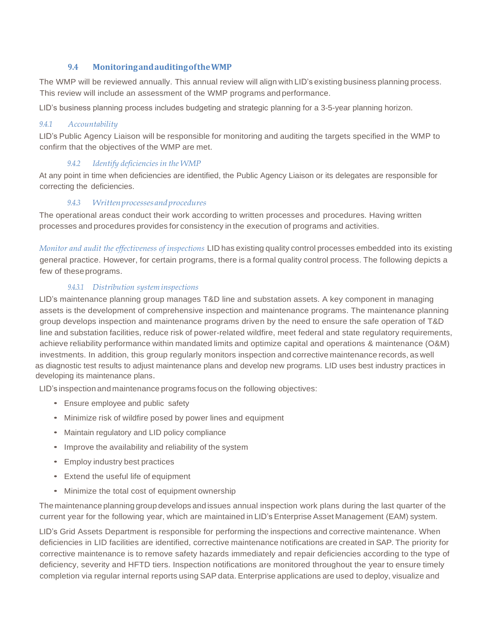# **9.4 MonitoringandauditingoftheWMP**

The WMP will be reviewed annually. This annual review will align with LID's existing business planning process. This review will include an assessment of the WMP programs and performance.

LID's business planning process includes budgeting and strategic planning for a 3-5-year planning horizon.

### *9.4.1 Accountability*

LID's Public Agency Liaison will be responsible for monitoring and auditing the targets specified in the WMP to confirm that the objectives of the WMP are met.

# *9.4.2 Identify deficiencies in the WMP*

At any point in time when deficiencies are identified, the Public Agency Liaison or its delegates are responsible for correcting the deficiencies.

# *9.4.3 Writtenprocessesandprocedures*

The operational areas conduct their work according to written processes and procedures. Having written processes and procedures provides for consistency in the execution of programs and activities.

*Monitor and audit the effectiveness of inspections* LID has existing quality control processes embedded into its existing general practice. However, for certain programs, there is a formal quality control process. The following depicts a few of theseprograms.

#### *9.4.3.1 Distribution systeminspections*

LID's maintenance planning group manages T&D line and substation assets. A key component in managing assets is the development of comprehensive inspection and maintenance programs. The maintenance planning group develops inspection and maintenance programs driven by the need to ensure the safe operation of T&D line and substation facilities, reduce risk of power-related wildfire, meet federal and state regulatory requirements, achieve reliability performance within mandated limits and optimize capital and operations & maintenance (O&M) investments. In addition, this group regularly monitors inspection and corrective maintenance records, as well as diagnostic test results to adjust maintenance plans and develop new programs. LID uses best industry practices in developing its maintenance plans.

LID's inspection and maintenance programs focus on the following objectives:

- Ensure employee and public safety
- Minimize risk of wildfire posed by power lines and equipment
- Maintain regulatory and LID policy compliance
- Improve the availability and reliability of the system
- Employ industry best practices
- Extend the useful life of equipment
- Minimize the total cost of equipment ownership

The maintenance planning group develops and issues annual inspection work plans during the last quarter of the current year for the following year, which are maintained in LID's Enterprise Asset Management (EAM) system.

LID's Grid Assets Department is responsible for performing the inspections and corrective maintenance. When deficiencies in LID facilities are identified, corrective maintenance notifications are created in SAP. The priority for corrective maintenance is to remove safety hazards immediately and repair deficiencies according to the type of deficiency, severity and HFTD tiers. Inspection notifications are monitored throughout the year to ensure timely completion via regular internal reports using SAP data. Enterprise applications are used to deploy, visualize and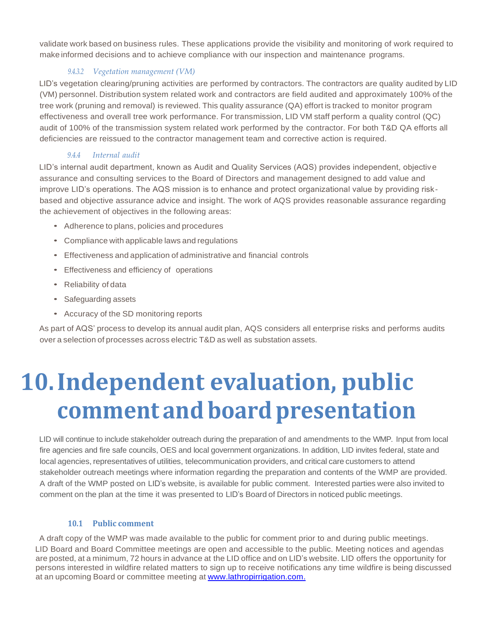validate work based on business rules. These applications provide the visibility and monitoring of work required to make informed decisions and to achieve compliance with our inspection and maintenance programs.

# *9.4.3.2 Vegetation management (VM)*

LID's vegetation clearing/pruning activities are performed by contractors. The contractors are quality audited by LID (VM) personnel. Distribution system related work and contractors are field audited and approximately 100% of the tree work (pruning and removal) is reviewed. This quality assurance (QA) effort is tracked to monitor program effectiveness and overall tree work performance. For transmission, LID VM staff perform a quality control (QC) audit of 100% of the transmission system related work performed by the contractor. For both T&D QA efforts all deficiencies are reissued to the contractor management team and corrective action is required.

# *9.4.4 Internal audit*

LID's internal audit department, known as Audit and Quality Services (AQS) provides independent, objective assurance and consulting services to the Board of Directors and management designed to add value and improve LID's operations. The AQS mission is to enhance and protect organizational value by providing riskbased and objective assurance advice and insight. The work of AQS provides reasonable assurance regarding the achievement of objectives in the following areas:

- Adherence to plans, policies and procedures
- Compliance with applicable laws and regulations
- Effectiveness and application of administrative and financial controls
- Effectiveness and efficiency of operations
- Reliability of data
- Safeguarding assets
- Accuracy of the SD monitoring reports

As part of AQS' process to develop its annual audit plan, AQS considers all enterprise risks and performs audits over a selection of processes across electric T&D as well as substation assets.

# **10.Independent evaluation, public comment and board presentation**

LID will continue to include stakeholder outreach during the preparation of and amendments to the WMP. Input from local fire agencies and fire safe councils, OES and local government organizations. In addition, LID invites federal, state and local agencies, representatives of utilities, telecommunication providers, and critical care customers to attend stakeholder outreach meetings where information regarding the preparation and contents of the WMP are provided. A draft of the WMP posted on LID's website, is available for public comment. Interested parties were also invited to comment on the plan at the time it was presented to LID's Board of Directors in noticed public meetings.

# **10.1 Public comment**

A draft copy of the WMP was made available to the public for comment prior to and during public meetings. LID Board and Board Committee meetings are open and accessible to the public. Meeting notices and agendas are posted, at a minimum, 72 hours in advance at the LID office and on LID's website. LID offers the opportunity for persons interested in wildfire related matters to sign up to receive notifications any time wildfire is being discussed at an upcoming Board or committee meeting at [www.lathropirrigation.com.](http://www.lathropirrigation.com/)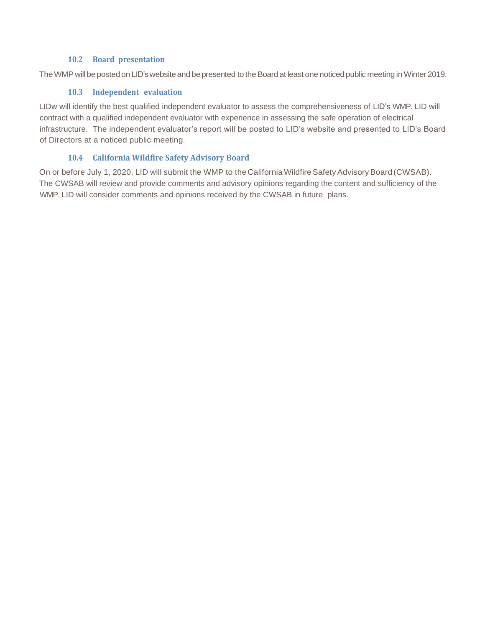### **10.2 Board presentation**

The WMP will be posted on LID's website and be presented to the Board at least one noticed public meeting in Winter 2019.

### **10.3 Independent evaluation**

LIDw will identify the best qualified independent evaluator to assess the comprehensiveness of LID's WMP. LID will contract with a qualified independent evaluator with experience in assessing the safe operation of electrical infrastructure. The independent evaluator's report will be posted to LID's website and presented to LID's Board of Directors at a noticed public meeting.

# **10.4 California Wildfire Safety Advisory Board**

On or before July 1, 2020, LID will submit the WMP to the California Wildfire Safety Advisory Board (CWSAB). The CWSAB will review and provide comments and advisory opinions regarding the content and sufficiency of the WMP. LID will consider comments and opinions received by the CWSAB in future plans.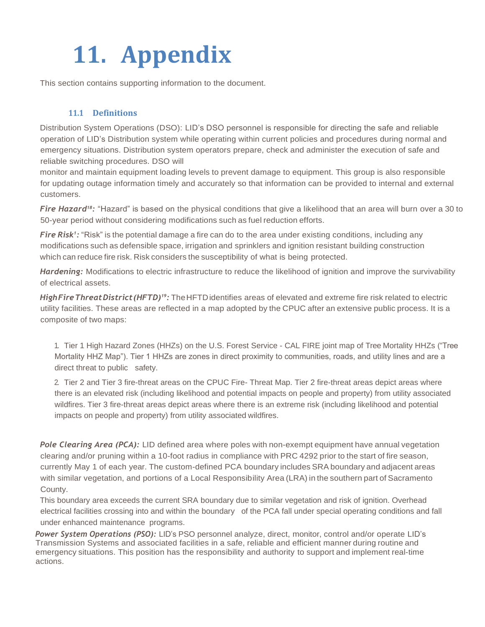# **11. Appendix**

This section contains supporting information to the document.

# **11.1 Definitions**

Distribution System Operations (DSO): LID's DSO personnel is responsible for directing the safe and reliable operation of LID's Distribution system while operating within current policies and procedures during normal and emergency situations. Distribution system operators prepare, check and administer the execution of safe and reliable switching procedures. DSO will

monitor and maintain equipment loading levels to prevent damage to equipment. This group is also responsible for updating outage information timely and accurately so that information can be provided to internal and external customers.

*Fire Hazard18:* "Hazard" is based on the physical conditions that give a likelihood that an area will burn over a 30 to 50-year period without considering modifications such as fuel reduction efforts.

*Fire Risk<sup>1</sup> :* "Risk" is the potential damage a fire can do to the area under existing conditions, including any modifications such as defensible space, irrigation and sprinklers and ignition resistant building construction which can reduce fire risk. Risk considers the susceptibility of what is being protected.

*Hardening:* Modifications to electric infrastructure to reduce the likelihood of ignition and improve the survivability of electrical assets.

*HighFireThreatDistrict(HFTD)19:* TheHFTDidentifies areas of elevated and extreme fire risk related to electric utility facilities. These areas are reflected in a map adopted by the CPUC after an extensive public process. It is a composite of two maps:

1. Tier 1 High Hazard Zones (HHZs) on the U.S. Forest Service - CAL FIRE joint map of Tree Mortality HHZs ("Tree Mortality HHZ Map"). Tier 1 HHZs are zones in direct proximity to communities, roads, and utility lines and are a direct threat to public safety.

2. Tier 2 and Tier 3 fire-threat areas on the CPUC Fire- Threat Map. Tier 2 fire-threat areas depict areas where there is an elevated risk (including likelihood and potential impacts on people and property) from utility associated wildfires. Tier 3 fire-threat areas depict areas where there is an extreme risk (including likelihood and potential impacts on people and property) from utility associated wildfires.

*Pole Clearing Area (PCA):* LID defined area where poles with non-exempt equipment have annual vegetation clearing and/or pruning within a 10-foot radius in compliance with PRC 4292 prior to the start of fire season, currently May 1 of each year. The custom-defined PCA boundary includes SRA boundary and adjacent areas with similar vegetation, and portions of a Local Responsibility Area (LRA) in the southern part of Sacramento County.

This boundary area exceeds the current SRA boundary due to similar vegetation and risk of ignition. Overhead electrical facilities crossing into and within the boundary of the PCA fall under special operating conditions and fall under enhanced maintenance programs.

*Power System Operations (PSO):* LID's PSO personnel analyze, direct, monitor, control and/or operate LID's Transmission Systems and associated facilities in a safe, reliable and efficient manner during routine and emergency situations. This position has the responsibility and authority to support and implement real-time actions.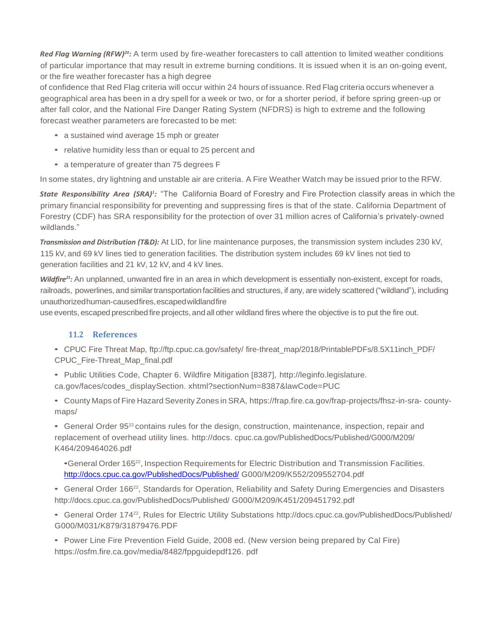*Red Flag Warning (RFW)20:* A term used by fire-weather forecasters to call attention to limited weather conditions of particular importance that may result in extreme burning conditions. It is issued when it is an on-going event, or the fire weather forecaster has a high degree

of confidence that Red Flag criteria will occur within 24 hours of issuance. Red Flag criteria occurs whenever a geographical area has been in a dry spell for a week or two, or for a shorter period, if before spring green-up or after fall color, and the National Fire Danger Rating System (NFDRS) is high to extreme and the following forecast weather parameters are forecasted to be met:

- a sustained wind average 15 mph or greater
- relative humidity less than or equal to 25 percent and
- a temperature of greater than 75 degrees F

In some states, dry lightning and unstable air are criteria. A Fire Weather Watch may be issued prior to the RFW.

*State Responsibility Area (SRA)<sup>1</sup> :* "The California Board of Forestry and Fire Protection classify areas in which the primary financial responsibility for preventing and suppressing fires is that of the state. California Department of Forestry (CDF) has SRA responsibility for the protection of over 31 million acres of California's privately-owned wildlands."

*Transmission and Distribution (T&D):* At LID, for line maintenance purposes, the transmission system includes 230 kV, 115 kV, and 69 kV lines tied to generation facilities. The distribution system includes 69 kV lines not tied to generation facilities and 21 kV, 12 kV, and 4 kV lines.

*Wildfire21:* An unplanned, unwanted fire in an area in which development is essentially non-existent, except for roads, railroads, powerlines, and similar transportation facilities and structures, if any, are widely scattered ("wildland"), including unauthorizedhuman-causedfires,escapedwildlandfire

use events, escaped prescribed fire projects, and all other wildland fires where the objective is to put the fire out.

# **11.2 References**

• CPUC Fire Threat Map, ftp://ftp.cpuc.ca.gov/safety/ fire-threat\_map/2018/PrintablePDFs/8.5X11inch\_PDF/ CPUC\_Fire-Threat\_Map\_final.pdf

• Public Utilities Code, Chapter 6. Wildfire Mitigation [8387], [http://leginfo.legislature.](http://leginfo.legislature/) ca.gov/faces/codes\_displaySection. xhtml?sectionNum=8387&lawCode=PUC

• County Maps of Fire Hazard Severity Zones in SRA, https://frap.fire.ca.gov/frap-projects/fhsz-in-sra- countymaps/

• General Order 95<sup>22</sup> contains rules for the design, construction, maintenance, inspection, repair and replacement of overhead utility lines. [http://docs.](http://docs/) cpuc.ca.gov/PublishedDocs/Published/G000/M209/ K464/209464026.pdf

•General Order 165<sup>22</sup> , Inspection Requirements for Electric Distribution and Transmission Facilities. <http://docs.cpuc.ca.gov/PublishedDocs/Published/> G000/M209/K552/209552704.pdf

• General Order 166<sup>22</sup>, Standards for Operation, Reliability and Safety During Emergencies and Disasters <http://docs.cpuc.ca.gov/PublishedDocs/Published/> G000/M209/K451/209451792.pdf

• General Order 174<sup>22</sup>, Rules for Electric Utility Substations<http://docs.cpuc.ca.gov/PublishedDocs/Published/> G000/M031/K879/31879476.PDF

• Power Line Fire Prevention Field Guide, 2008 ed. (New version being prepared by Cal Fire) https://osfm.fire.ca.gov/media/8482/fppguidepdf126. pdf